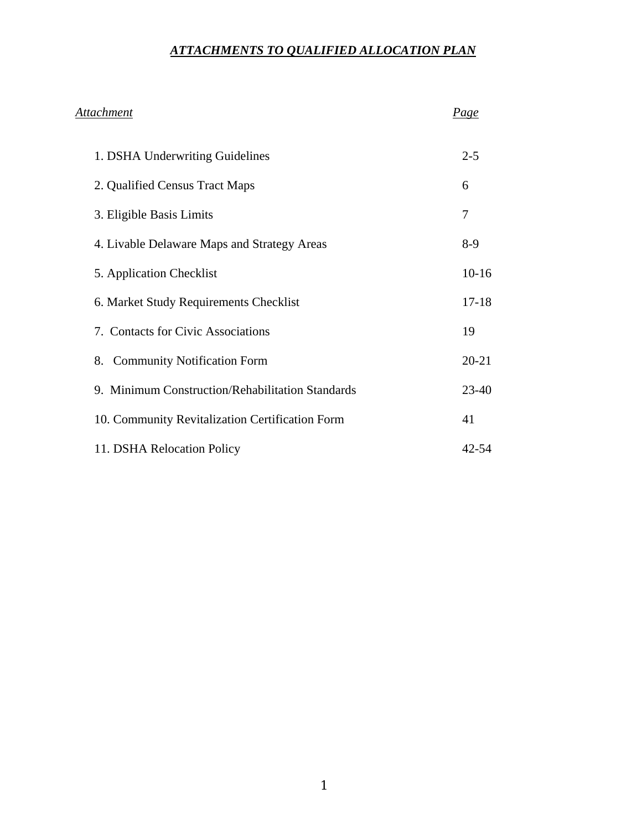# *ATTACHMENTS TO QUALIFIED ALLOCATION PLAN*

| Attachment                                       | <b>Page</b> |
|--------------------------------------------------|-------------|
| 1. DSHA Underwriting Guidelines                  | $2 - 5$     |
| 2. Qualified Census Tract Maps                   | 6           |
| 3. Eligible Basis Limits                         | 7           |
| 4. Livable Delaware Maps and Strategy Areas      | $8-9$       |
| 5. Application Checklist                         | $10 - 16$   |
| 6. Market Study Requirements Checklist           | $17 - 18$   |
| 7. Contacts for Civic Associations               | 19          |
| 8. Community Notification Form                   | $20 - 21$   |
| 9. Minimum Construction/Rehabilitation Standards | $23-40$     |
| 10. Community Revitalization Certification Form  | 41          |
| 11. DSHA Relocation Policy                       | $42 - 54$   |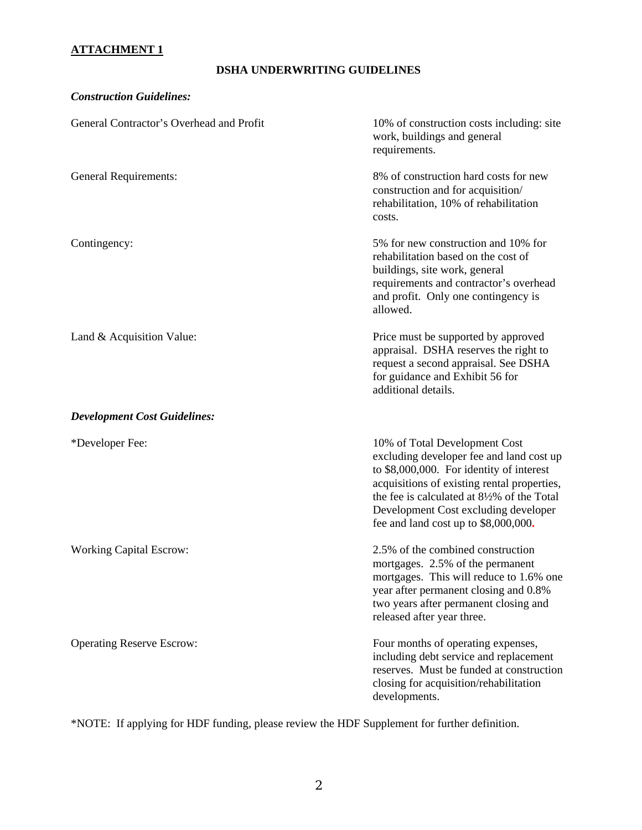# **DSHA UNDERWRITING GUIDELINES**

### *Construction Guidelines:*

| General Contractor's Overhead and Profit | 10% of construction costs including: site<br>work, buildings and general<br>requirements.                                                                                                                                                                                                         |
|------------------------------------------|---------------------------------------------------------------------------------------------------------------------------------------------------------------------------------------------------------------------------------------------------------------------------------------------------|
| <b>General Requirements:</b>             | 8% of construction hard costs for new<br>construction and for acquisition/<br>rehabilitation, 10% of rehabilitation<br>costs.                                                                                                                                                                     |
| Contingency:                             | 5% for new construction and 10% for<br>rehabilitation based on the cost of<br>buildings, site work, general<br>requirements and contractor's overhead<br>and profit. Only one contingency is<br>allowed.                                                                                          |
| Land & Acquisition Value:                | Price must be supported by approved<br>appraisal. DSHA reserves the right to<br>request a second appraisal. See DSHA<br>for guidance and Exhibit 56 for<br>additional details.                                                                                                                    |
| <b>Development Cost Guidelines:</b>      |                                                                                                                                                                                                                                                                                                   |
| *Developer Fee:                          | 10% of Total Development Cost<br>excluding developer fee and land cost up<br>to \$8,000,000. For identity of interest<br>acquisitions of existing rental properties,<br>the fee is calculated at 8½% of the Total<br>Development Cost excluding developer<br>fee and land cost up to \$8,000,000. |
| <b>Working Capital Escrow:</b>           | 2.5% of the combined construction<br>mortgages. 2.5% of the permanent<br>mortgages. This will reduce to 1.6% one<br>year after permanent closing and 0.8%<br>two years after permanent closing and<br>released after year three.                                                                  |
| <b>Operating Reserve Escrow:</b>         | Four months of operating expenses,<br>including debt service and replacement<br>reserves. Must be funded at construction<br>closing for acquisition/rehabilitation<br>developments.                                                                                                               |

\*NOTE: If applying for HDF funding, please review the HDF Supplement for further definition.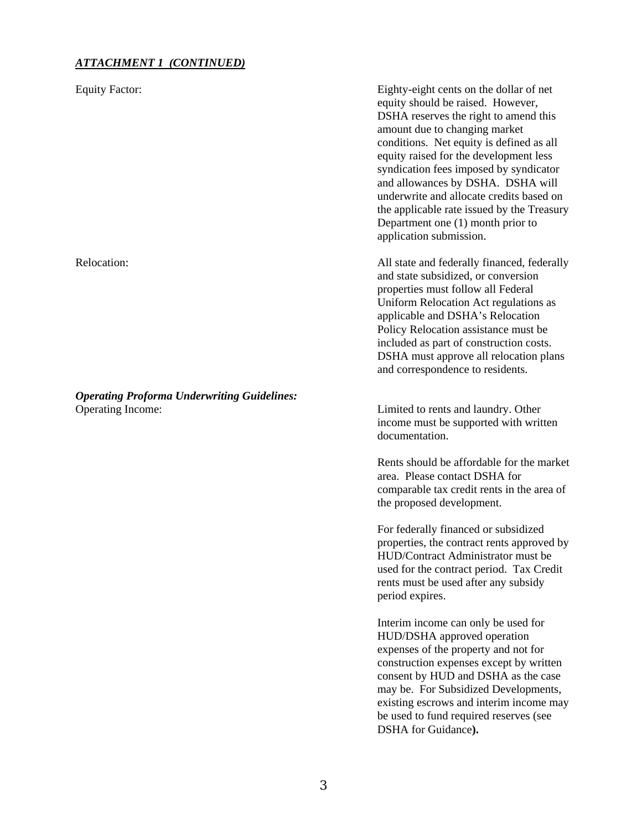#### *ATTACHMENT 1 (CONTINUED)*

Equity Factor: Eighty-eight cents on the dollar of net equity should be raised. However, DSHA reserves the right to amend this amount due to changing market conditions. Net equity is defined as all equity raised for the development less syndication fees imposed by syndicator and allowances by DSHA. DSHA will underwrite and allocate credits based on the applicable rate issued by the Treasury Department one (1) month prior to application submission. Relocation: All state and federally financed, federally and state subsidized, or conversion properties must follow all Federal Uniform Relocation Act regulations as applicable and DSHA's Relocation Policy Relocation assistance must be included as part of construction costs. DSHA must approve all relocation plans and correspondence to residents. *Operating Proforma Underwriting Guidelines:*  Operating Income: Limited to rents and laundry. Other income must be supported with written documentation.

> Rents should be affordable for the market area. Please contact DSHA for comparable tax credit rents in the area of the proposed development.

> For federally financed or subsidized properties, the contract rents approved by HUD/Contract Administrator must be used for the contract period. Tax Credit rents must be used after any subsidy period expires.

> Interim income can only be used for HUD/DSHA approved operation expenses of the property and not for construction expenses except by written consent by HUD and DSHA as the case may be. For Subsidized Developments, existing escrows and interim income may be used to fund required reserves (see DSHA for Guidance**).**

3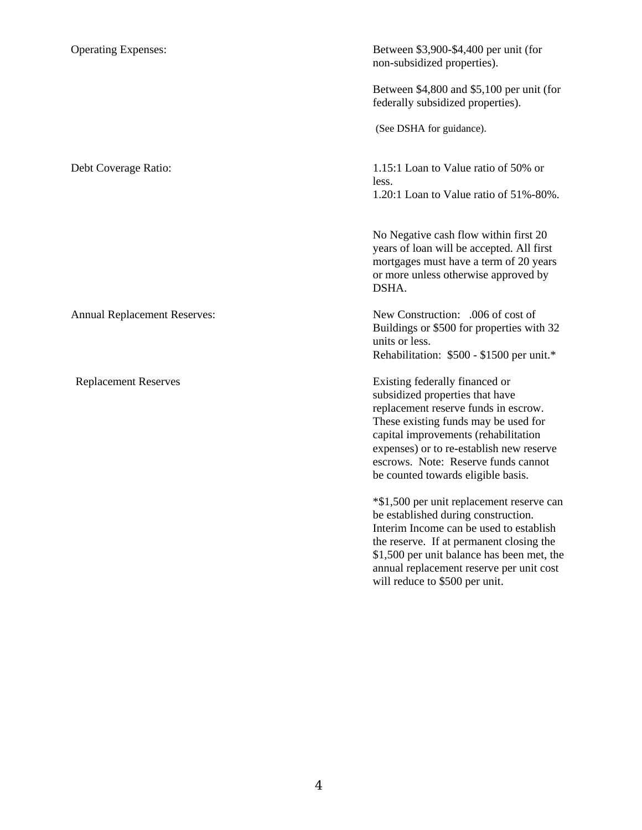| <b>Operating Expenses:</b>          | Between \$3,900-\$4,400 per unit (for<br>non-subsidized properties).                                                                                                                                                                                                                                               |
|-------------------------------------|--------------------------------------------------------------------------------------------------------------------------------------------------------------------------------------------------------------------------------------------------------------------------------------------------------------------|
|                                     | Between \$4,800 and \$5,100 per unit (for<br>federally subsidized properties).                                                                                                                                                                                                                                     |
|                                     | (See DSHA for guidance).                                                                                                                                                                                                                                                                                           |
| Debt Coverage Ratio:                | 1.15:1 Loan to Value ratio of 50% or<br>less.<br>1.20:1 Loan to Value ratio of 51%-80%.                                                                                                                                                                                                                            |
|                                     | No Negative cash flow within first 20<br>years of loan will be accepted. All first<br>mortgages must have a term of 20 years<br>or more unless otherwise approved by<br>DSHA.                                                                                                                                      |
| <b>Annual Replacement Reserves:</b> | New Construction: .006 of cost of<br>Buildings or \$500 for properties with 32<br>units or less.<br>Rehabilitation: \$500 - \$1500 per unit.*                                                                                                                                                                      |
| <b>Replacement Reserves</b>         | Existing federally financed or<br>subsidized properties that have<br>replacement reserve funds in escrow.<br>These existing funds may be used for<br>capital improvements (rehabilitation<br>expenses) or to re-establish new reserve<br>escrows. Note: Reserve funds cannot<br>be counted towards eligible basis. |
|                                     | *\$1,500 per unit replacement reserve can<br>be established during construction.<br>Interim Income can be used to establish<br>the reserve. If at permanent closing the<br>\$1,500 per unit balance has been met, the<br>annual replacement reserve per unit cost<br>will reduce to \$500 per unit.                |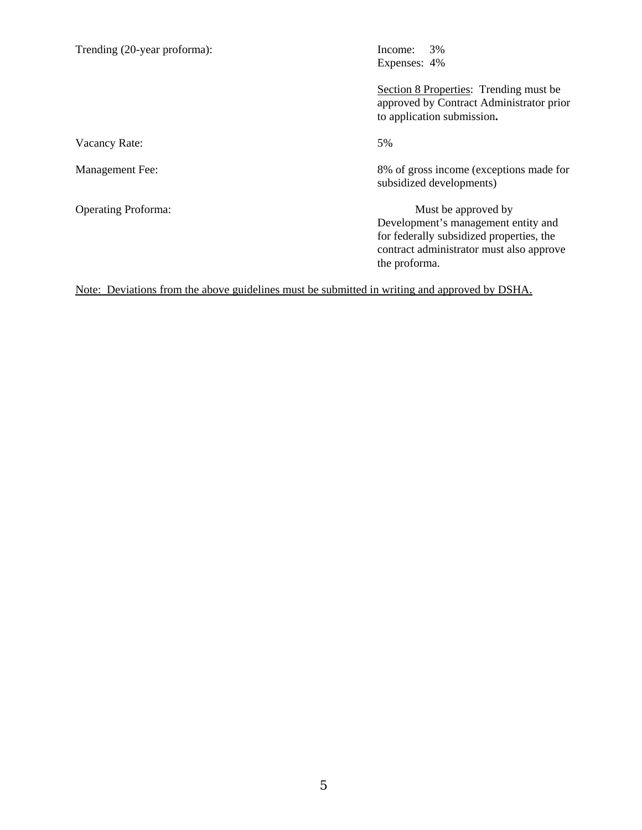| Trending (20-year proforma): | 3%<br>Income:<br>Expenses: 4%                                                                                                                                       |
|------------------------------|---------------------------------------------------------------------------------------------------------------------------------------------------------------------|
|                              | Section 8 Properties: Trending must be<br>approved by Contract Administrator prior<br>to application submission.                                                    |
| Vacancy Rate:                | 5%                                                                                                                                                                  |
| <b>Management Fee:</b>       | 8% of gross income (exceptions made for<br>subsidized developments)                                                                                                 |
| <b>Operating Proforma:</b>   | Must be approved by<br>Development's management entity and<br>for federally subsidized properties, the<br>contract administrator must also approve<br>the proforma. |

Note: Deviations from the above guidelines must be submitted in writing and approved by DSHA.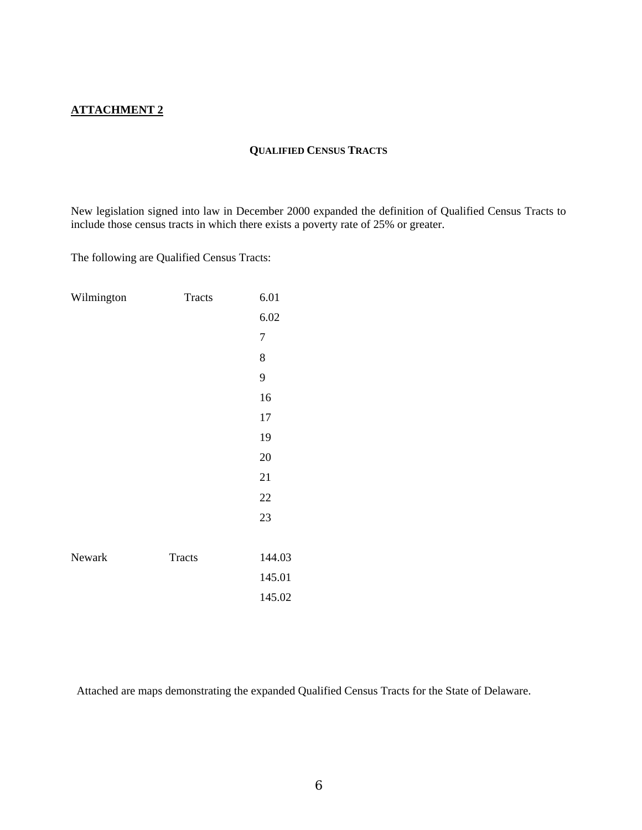## **QUALIFIED CENSUS TRACTS**

New legislation signed into law in December 2000 expanded the definition of Qualified Census Tracts to include those census tracts in which there exists a poverty rate of 25% or greater.

The following are Qualified Census Tracts:

| Wilmington | Tracts        | 6.01           |
|------------|---------------|----------------|
|            |               | 6.02           |
|            |               | $\overline{7}$ |
|            |               | 8              |
|            |               | 9              |
|            |               | 16             |
|            |               | 17             |
|            |               | 19             |
|            |               | 20             |
|            |               | 21             |
|            |               | 22             |
|            |               | 23             |
|            |               |                |
| Newark     | <b>Tracts</b> | 144.03         |
|            |               | 145.01         |
|            |               | 145.02         |
|            |               |                |

Attached are maps demonstrating the expanded Qualified Census Tracts for the State of Delaware.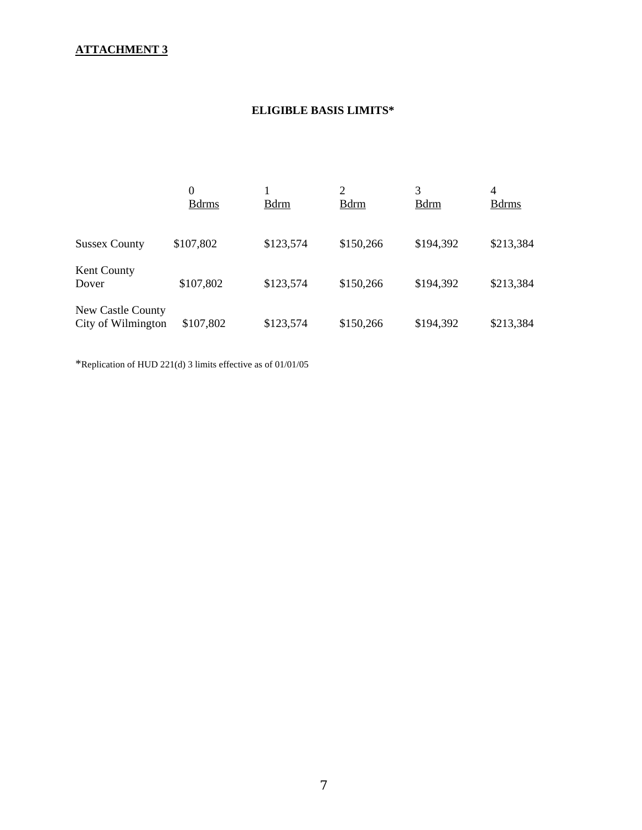# **ELIGIBLE BASIS LIMITS\***

|                                         | 0<br><b>B</b> drms | <b>B</b> drm | $\overline{2}$<br><b>B</b> drm | 3<br><b>B</b> drm | 4<br><b>B</b> drms |
|-----------------------------------------|--------------------|--------------|--------------------------------|-------------------|--------------------|
| <b>Sussex County</b>                    | \$107,802          | \$123,574    | \$150,266                      | \$194,392         | \$213,384          |
| Kent County<br>Dover                    | \$107,802          | \$123,574    | \$150,266                      | \$194,392         | \$213,384          |
| New Castle County<br>City of Wilmington | \$107,802          | \$123,574    | \$150,266                      | \$194,392         | \$213,384          |

\*Replication of HUD 221(d) 3 limits effective as of 01/01/05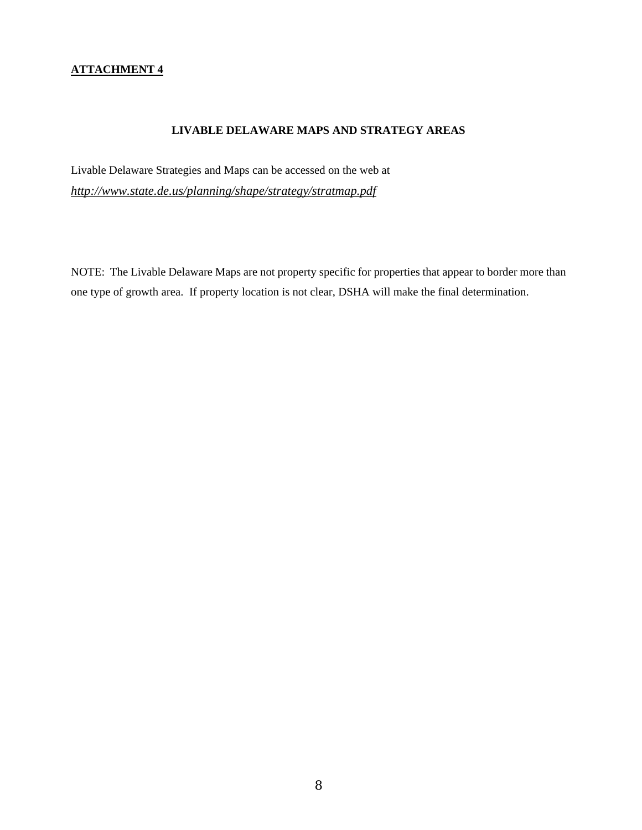#### **LIVABLE DELAWARE MAPS AND STRATEGY AREAS**

Livable Delaware Strategies and Maps can be accessed on the web at *http://www.state.de.us/planning/shape/strategy/stratmap.pdf*

NOTE: The Livable Delaware Maps are not property specific for properties that appear to border more than one type of growth area. If property location is not clear, DSHA will make the final determination.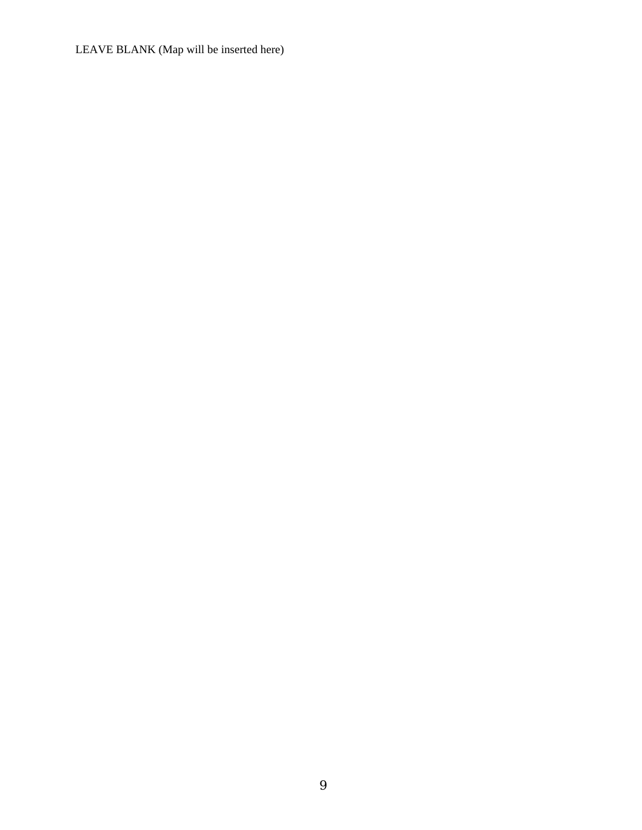LEAVE BLANK (Map will be inserted here)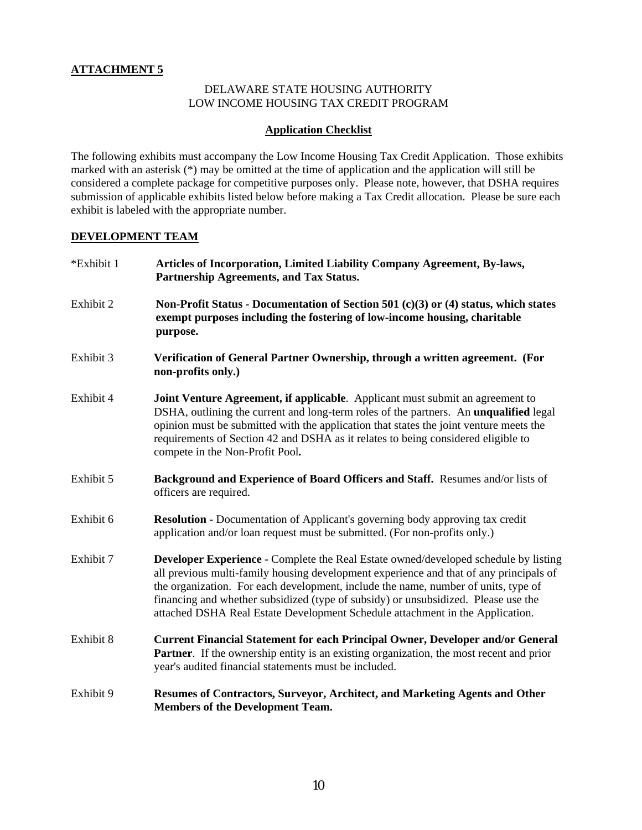#### DELAWARE STATE HOUSING AUTHORITY LOW INCOME HOUSING TAX CREDIT PROGRAM

#### **Application Checklist**

The following exhibits must accompany the Low Income Housing Tax Credit Application. Those exhibits marked with an asterisk (\*) may be omitted at the time of application and the application will still be considered a complete package for competitive purposes only. Please note, however, that DSHA requires submission of applicable exhibits listed below before making a Tax Credit allocation. Please be sure each exhibit is labeled with the appropriate number.

## **DEVELOPMENT TEAM**

| *Exhibit 1 | Articles of Incorporation, Limited Liability Company Agreement, By-laws,<br>Partnership Agreements, and Tax Status.                                                                                                                                                                                                                                                                                                                               |
|------------|---------------------------------------------------------------------------------------------------------------------------------------------------------------------------------------------------------------------------------------------------------------------------------------------------------------------------------------------------------------------------------------------------------------------------------------------------|
| Exhibit 2  | Non-Profit Status - Documentation of Section 501 (c)(3) or (4) status, which states<br>exempt purposes including the fostering of low-income housing, charitable<br>purpose.                                                                                                                                                                                                                                                                      |
| Exhibit 3  | Verification of General Partner Ownership, through a written agreement. (For<br>non-profits only.)                                                                                                                                                                                                                                                                                                                                                |
| Exhibit 4  | <b>Joint Venture Agreement, if applicable.</b> Applicant must submit an agreement to<br>DSHA, outlining the current and long-term roles of the partners. An <b>unqualified</b> legal<br>opinion must be submitted with the application that states the joint venture meets the<br>requirements of Section 42 and DSHA as it relates to being considered eligible to<br>compete in the Non-Profit Pool.                                            |
| Exhibit 5  | Background and Experience of Board Officers and Staff. Resumes and/or lists of<br>officers are required.                                                                                                                                                                                                                                                                                                                                          |
| Exhibit 6  | <b>Resolution</b> - Documentation of Applicant's governing body approving tax credit<br>application and/or loan request must be submitted. (For non-profits only.)                                                                                                                                                                                                                                                                                |
| Exhibit 7  | <b>Developer Experience - Complete the Real Estate owned/developed schedule by listing</b><br>all previous multi-family housing development experience and that of any principals of<br>the organization. For each development, include the name, number of units, type of<br>financing and whether subsidized (type of subsidy) or unsubsidized. Please use the<br>attached DSHA Real Estate Development Schedule attachment in the Application. |
| Exhibit 8  | <b>Current Financial Statement for each Principal Owner, Developer and/or General</b><br><b>Partner.</b> If the ownership entity is an existing organization, the most recent and prior<br>year's audited financial statements must be included.                                                                                                                                                                                                  |
| Exhibit 9  | Resumes of Contractors, Surveyor, Architect, and Marketing Agents and Other<br><b>Members of the Development Team.</b>                                                                                                                                                                                                                                                                                                                            |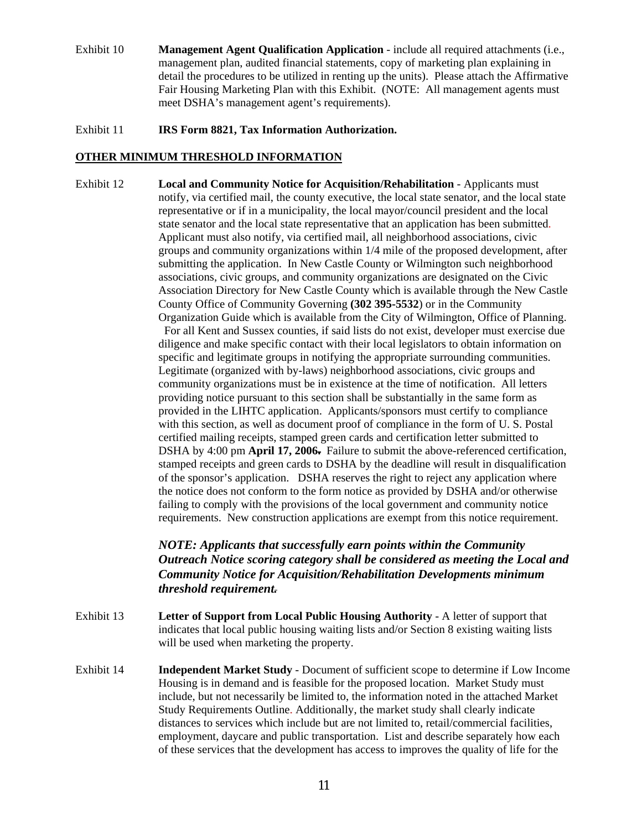Exhibit 10 **Management Agent Qualification Application** - include all required attachments (i.e., management plan, audited financial statements, copy of marketing plan explaining in detail the procedures to be utilized in renting up the units). Please attach the Affirmative Fair Housing Marketing Plan with this Exhibit. (NOTE: All management agents must meet DSHA's management agent's requirements).

Exhibit 11 **IRS Form 8821, Tax Information Authorization.**

### **OTHER MINIMUM THRESHOLD INFORMATION**

Exhibit 12 **Local and Community Notice for Acquisition/Rehabilitation** - Applicants must notify, via certified mail, the county executive, the local state senator, and the local state representative or if in a municipality, the local mayor/council president and the local state senator and the local state representative that an application has been submitted. Applicant must also notify, via certified mail, all neighborhood associations, civic groups and community organizations within 1/4 mile of the proposed development, after submitting the application. In New Castle County or Wilmington such neighborhood associations, civic groups, and community organizations are designated on the Civic Association Directory for New Castle County which is available through the New Castle County Office of Community Governing **(302 395-5532**) or in the Community Organization Guide which is available from the City of Wilmington, Office of Planning. For all Kent and Sussex counties, if said lists do not exist, developer must exercise due diligence and make specific contact with their local legislators to obtain information on specific and legitimate groups in notifying the appropriate surrounding communities. Legitimate (organized with by-laws) neighborhood associations, civic groups and community organizations must be in existence at the time of notification. All letters providing notice pursuant to this section shall be substantially in the same form as provided in the LIHTC application. Applicants/sponsors must certify to compliance with this section, as well as document proof of compliance in the form of U. S. Postal certified mailing receipts, stamped green cards and certification letter submitted to DSHA by 4:00 pm **April 17, 2006.** Failure to submit the above-referenced certification, stamped receipts and green cards to DSHA by the deadline will result in disqualification of the sponsor's application. DSHA reserves the right to reject any application where the notice does not conform to the form notice as provided by DSHA and/or otherwise failing to comply with the provisions of the local government and community notice requirements. New construction applications are exempt from this notice requirement.

# *NOTE: Applicants that successfully earn points within the Community Outreach Notice scoring category shall be considered as meeting the Local and Community Notice for Acquisition/Rehabilitation Developments minimum threshold requirement.*

- Exhibit 13 **Letter of Support from Local Public Housing Authority** A letter of support that indicates that local public housing waiting lists and/or Section 8 existing waiting lists will be used when marketing the property.
- Exhibit 14 **Independent Market Study** Document of sufficient scope to determine if Low Income Housing is in demand and is feasible for the proposed location. Market Study must include, but not necessarily be limited to, the information noted in the attached Market Study Requirements Outline. Additionally, the market study shall clearly indicate distances to services which include but are not limited to, retail/commercial facilities, employment, daycare and public transportation. List and describe separately how each of these services that the development has access to improves the quality of life for the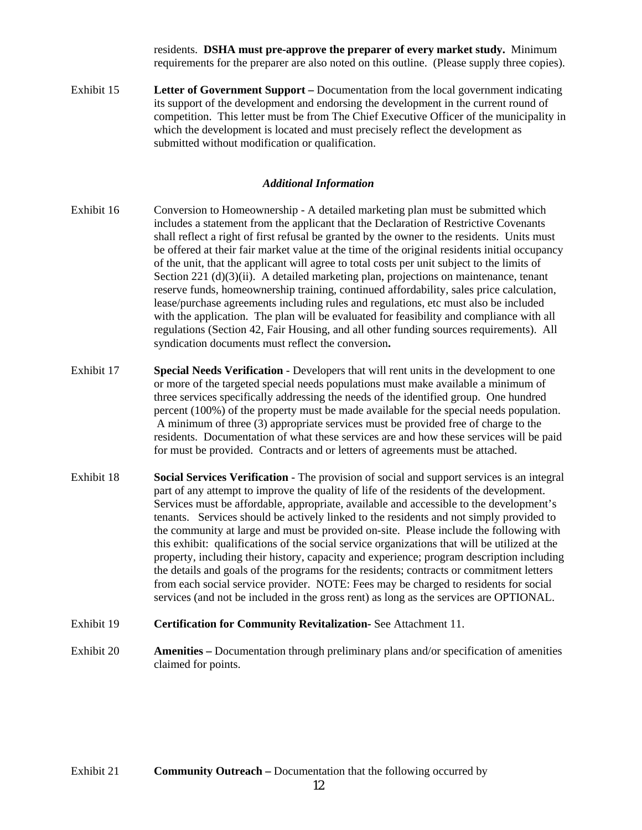residents. **DSHA must pre-approve the preparer of every market study.** Minimum requirements for the preparer are also noted on this outline. (Please supply three copies).

Exhibit 15 **Letter of Government Support –** Documentation from the local government indicating its support of the development and endorsing the development in the current round of competition. This letter must be from The Chief Executive Officer of the municipality in which the development is located and must precisely reflect the development as submitted without modification or qualification.

#### *Additional Information*

- Exhibit 16Conversion to HomeownershipA detailed marketing plan must be submitted which includes a statement from the applicant that the Declaration of Restrictive Covenants shall reflect a right of first refusal be granted by the owner to the residents. Units must be offered at their fair market value at the time of the original residents initial occupancy of the unit, that the applicant will agree to total costs per unit subject to the limits of Section  $221$  (d)(3)(ii). A detailed marketing plan, projections on maintenance, tenant reserve funds, homeownership training, continued affordability, sales price calculation, lease/purchase agreements including rules and regulations, etc must also be included with the application. The plan will be evaluated for feasibility and compliance with all regulations (Section 42, Fair Housing, and all other funding sources requirements). All syndication documents must reflect the conversion**.**
- Exhibit 17 **Special Needs Verification** Developers that will rent units in the development to one or more of the targeted special needs populations must make available a minimum of three services specifically addressing the needs of the identified group. One hundred percent (100%) of the property must be made available for the special needs population. A minimum of three (3) appropriate services must be provided free of charge to the residents. Documentation of what these services are and how these services will be paid for must be provided. Contracts and or letters of agreements must be attached.
- Exhibit 18 **Social Services Verification** The provision of social and support services is an integral part of any attempt to improve the quality of life of the residents of the development. Services must be affordable, appropriate, available and accessible to the development's tenants. Services should be actively linked to the residents and not simply provided to the community at large and must be provided on-site. Please include the following with this exhibit: qualifications of the social service organizations that will be utilized at the property, including their history, capacity and experience; program description including the details and goals of the programs for the residents; contracts or commitment letters from each social service provider. NOTE: Fees may be charged to residents for social services (and not be included in the gross rent) as long as the services are OPTIONAL.
- Exhibit 19 **Certification for Community Revitalization-** See Attachment 11.
- Exhibit 20 **Amenities** Documentation through preliminary plans and/or specification of amenities claimed for points.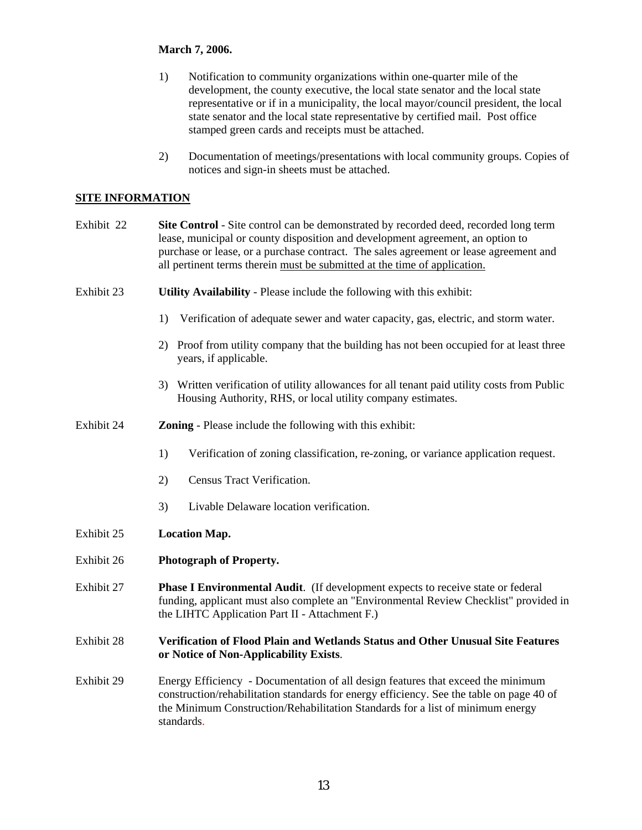# **March 7, 2006.**

standards.

- 1) Notification to community organizations within one-quarter mile of the development, the county executive, the local state senator and the local state representative or if in a municipality, the local mayor/council president, the local state senator and the local state representative by certified mail. Post office stamped green cards and receipts must be attached.
- 2) Documentation of meetings/presentations with local community groups. Copies of notices and sign-in sheets must be attached.

#### **SITE INFORMATION**

| Exhibit 22 | <b>Site Control</b> - Site control can be demonstrated by recorded deed, recorded long term<br>lease, municipal or county disposition and development agreement, an option to<br>purchase or lease, or a purchase contract. The sales agreement or lease agreement and<br>all pertinent terms therein must be submitted at the time of application. |  |
|------------|-----------------------------------------------------------------------------------------------------------------------------------------------------------------------------------------------------------------------------------------------------------------------------------------------------------------------------------------------------|--|
| Exhibit 23 | Utility Availability - Please include the following with this exhibit:                                                                                                                                                                                                                                                                              |  |
|            | Verification of adequate sewer and water capacity, gas, electric, and storm water.<br>1)                                                                                                                                                                                                                                                            |  |
|            | 2)<br>Proof from utility company that the building has not been occupied for at least three<br>years, if applicable.                                                                                                                                                                                                                                |  |
|            | Written verification of utility allowances for all tenant paid utility costs from Public<br>3)<br>Housing Authority, RHS, or local utility company estimates.                                                                                                                                                                                       |  |
| Exhibit 24 | <b>Zoning</b> - Please include the following with this exhibit:                                                                                                                                                                                                                                                                                     |  |
|            | 1)<br>Verification of zoning classification, re-zoning, or variance application request.                                                                                                                                                                                                                                                            |  |
|            | <b>Census Tract Verification.</b><br>2)                                                                                                                                                                                                                                                                                                             |  |
|            | 3)<br>Livable Delaware location verification.                                                                                                                                                                                                                                                                                                       |  |
| Exhibit 25 | <b>Location Map.</b>                                                                                                                                                                                                                                                                                                                                |  |
| Exhibit 26 | Photograph of Property.                                                                                                                                                                                                                                                                                                                             |  |
| Exhibit 27 | Phase I Environmental Audit. (If development expects to receive state or federal<br>funding, applicant must also complete an "Environmental Review Checklist" provided in<br>the LIHTC Application Part II - Attachment F.)                                                                                                                         |  |
| Exhibit 28 | Verification of Flood Plain and Wetlands Status and Other Unusual Site Features<br>or Notice of Non-Applicability Exists.                                                                                                                                                                                                                           |  |
| Exhibit 29 | Energy Efficiency - Documentation of all design features that exceed the minimum<br>construction/rehabilitation standards for energy efficiency. See the table on page 40 of<br>the Minimum Construction/Rehabilitation Standards for a list of minimum energy                                                                                      |  |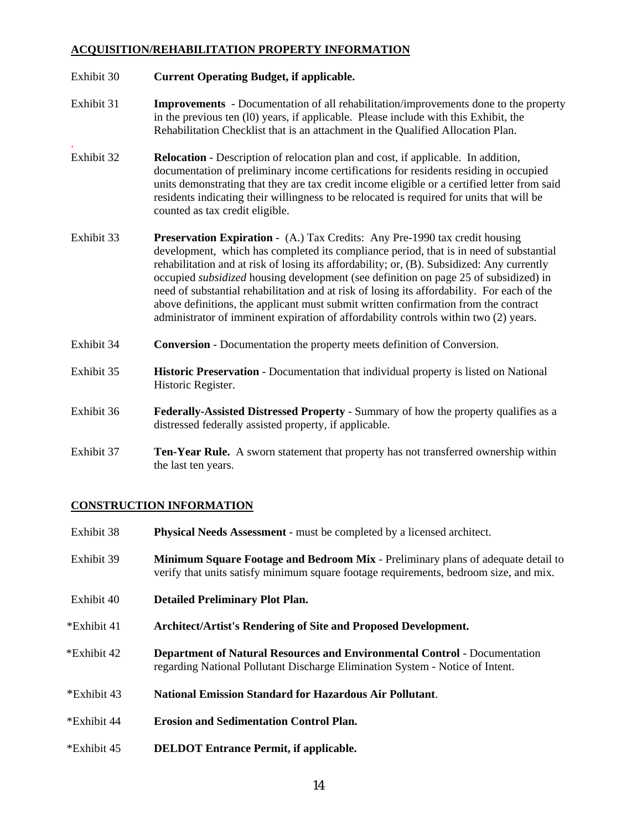## **ACQUISITION/REHABILITATION PROPERTY INFORMATION**

### Exhibit 30 **Current Operating Budget, if applicable.**

.

- Exhibit 31 **Improvements** Documentation of all rehabilitation/improvements done to the property in the previous ten (l0) years, if applicable. Please include with this Exhibit, the Rehabilitation Checklist that is an attachment in the Qualified Allocation Plan.
- Exhibit 32 **Relocation** Description of relocation plan and cost, if applicable. In addition, documentation of preliminary income certifications for residents residing in occupied units demonstrating that they are tax credit income eligible or a certified letter from said residents indicating their willingness to be relocated is required for units that will be counted as tax credit eligible.
- Exhibit 33 **Preservation Expiration**  (A.) Tax Credits: Any Pre-1990 tax credit housing development, which has completed its compliance period, that is in need of substantial rehabilitation and at risk of losing its affordability; or, (B). Subsidized: Any currently occupied *subsidized* housing development (see definition on page 25 of subsidized) in need of substantial rehabilitation and at risk of losing its affordability. For each of the above definitions, the applicant must submit written confirmation from the contract administrator of imminent expiration of affordability controls within two (2) years.
- Exhibit 34 **Conversion**  Documentation the property meets definition of Conversion.
- Exhibit 35 **Historic Preservation**  Documentation that individual property is listed on National Historic Register.
- Exhibit 36 **Federally-Assisted Distressed Property** Summary of how the property qualifies as a distressed federally assisted property, if applicable.
- Exhibit 37 **Ten-Year Rule.** A sworn statement that property has not transferred ownership within the last ten years.

# **CONSTRUCTION INFORMATION**

| Exhibit 38  | <b>Physical Needs Assessment</b> - must be completed by a licensed architect.                                                                                                    |
|-------------|----------------------------------------------------------------------------------------------------------------------------------------------------------------------------------|
| Exhibit 39  | <b>Minimum Square Footage and Bedroom Mix - Preliminary plans of adequate detail to</b><br>verify that units satisfy minimum square footage requirements, bedroom size, and mix. |
| Exhibit 40  | <b>Detailed Preliminary Plot Plan.</b>                                                                                                                                           |
| *Exhibit 41 | Architect/Artist's Rendering of Site and Proposed Development.                                                                                                                   |
| *Exhibit 42 | <b>Department of Natural Resources and Environmental Control - Documentation</b><br>regarding National Pollutant Discharge Elimination System - Notice of Intent.                |
| *Exhibit 43 | <b>National Emission Standard for Hazardous Air Pollutant.</b>                                                                                                                   |
| *Exhibit 44 | <b>Erosion and Sedimentation Control Plan.</b>                                                                                                                                   |
| *Exhibit 45 | <b>DELDOT Entrance Permit, if applicable.</b>                                                                                                                                    |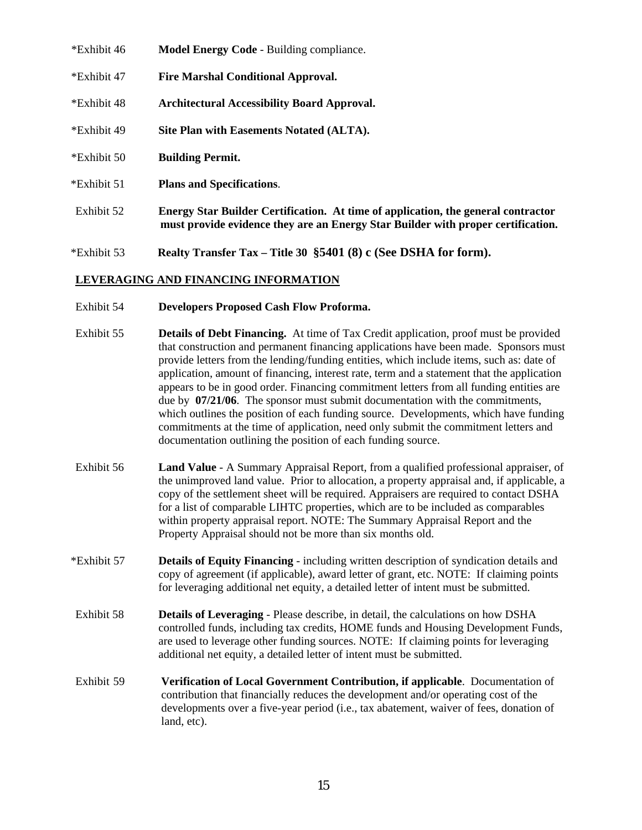\*Exhibit 46 **Model Energy Code** - Building compliance. \*Exhibit 47 **Fire Marshal Conditional Approval.** \*Exhibit 48 **Architectural Accessibility Board Approval.** \*Exhibit 49 **Site Plan with Easements Notated (ALTA).**  \*Exhibit 50 **Building Permit.**  \*Exhibit 51 **Plans and Specifications**. Exhibit 52 **Energy Star Builder Certification. At time of application, the general contractor must provide evidence they are an Energy Star Builder with proper certification.**  \*Exhibit 53 **Realty Transfer Tax – Title 30 §5401 (8) c (See DSHA for form).**

#### **LEVERAGING AND FINANCING INFORMATION**

- Exhibit 54 **Developers Proposed Cash Flow Proforma.**
- Exhibit 55 **Details of Debt Financing.** At time of Tax Credit application, proof must be provided that construction and permanent financing applications have been made. Sponsors must provide letters from the lending/funding entities, which include items, such as: date of application, amount of financing, interest rate, term and a statement that the application appears to be in good order. Financing commitment letters from all funding entities are due by **07/21/06**. The sponsor must submit documentation with the commitments, which outlines the position of each funding source. Developments, which have funding commitments at the time of application, need only submit the commitment letters and documentation outlining the position of each funding source.
- Exhibit 56 **Land Value** A Summary Appraisal Report, from a qualified professional appraiser, of the unimproved land value. Prior to allocation, a property appraisal and, if applicable, a copy of the settlement sheet will be required. Appraisers are required to contact DSHA for a list of comparable LIHTC properties, which are to be included as comparables within property appraisal report. NOTE: The Summary Appraisal Report and the Property Appraisal should not be more than six months old.
- \*Exhibit 57 **Details of Equity Financing** including written description of syndication details and copy of agreement (if applicable), award letter of grant, etc. NOTE: If claiming points for leveraging additional net equity, a detailed letter of intent must be submitted.
- Exhibit 58 **Details of Leveraging** Please describe, in detail, the calculations on how DSHA controlled funds, including tax credits, HOME funds and Housing Development Funds, are used to leverage other funding sources. NOTE: If claiming points for leveraging additional net equity, a detailed letter of intent must be submitted.
- Exhibit 59 **Verification of Local Government Contribution, if applicable**. Documentation of contribution that financially reduces the development and/or operating cost of the developments over a five-year period (i.e., tax abatement, waiver of fees, donation of land, etc).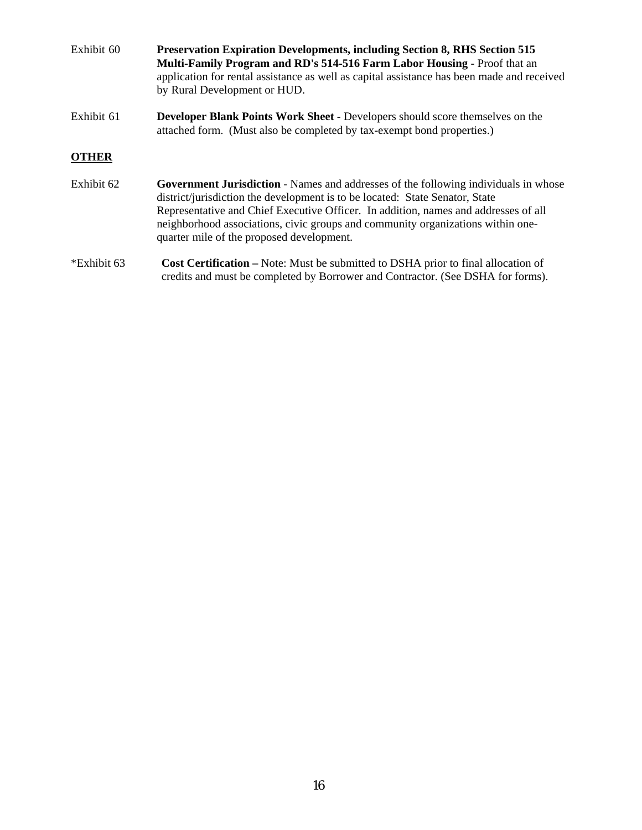| Exhibit 60   | <b>Preservation Expiration Developments, including Section 8, RHS Section 515</b><br><b>Multi-Family Program and RD's 514-516 Farm Labor Housing - Proof that an</b><br>application for rental assistance as well as capital assistance has been made and received<br>by Rural Development or HUD.                                                                                                |
|--------------|---------------------------------------------------------------------------------------------------------------------------------------------------------------------------------------------------------------------------------------------------------------------------------------------------------------------------------------------------------------------------------------------------|
| Exhibit 61   | <b>Developer Blank Points Work Sheet - Developers should score themselves on the</b><br>attached form. (Must also be completed by tax-exempt bond properties.)                                                                                                                                                                                                                                    |
| <b>OTHER</b> |                                                                                                                                                                                                                                                                                                                                                                                                   |
| Exhibit 62   | <b>Government Jurisdiction</b> - Names and addresses of the following individuals in whose<br>district/jurisdiction the development is to be located: State Senator, State<br>Representative and Chief Executive Officer. In addition, names and addresses of all<br>neighborhood associations, civic groups and community organizations within one-<br>quarter mile of the proposed development. |
| *Exhibit 63  | <b>Cost Certification</b> – Note: Must be submitted to DSHA prior to final allocation of                                                                                                                                                                                                                                                                                                          |

credits and must be completed by Borrower and Contractor. (See DSHA for forms).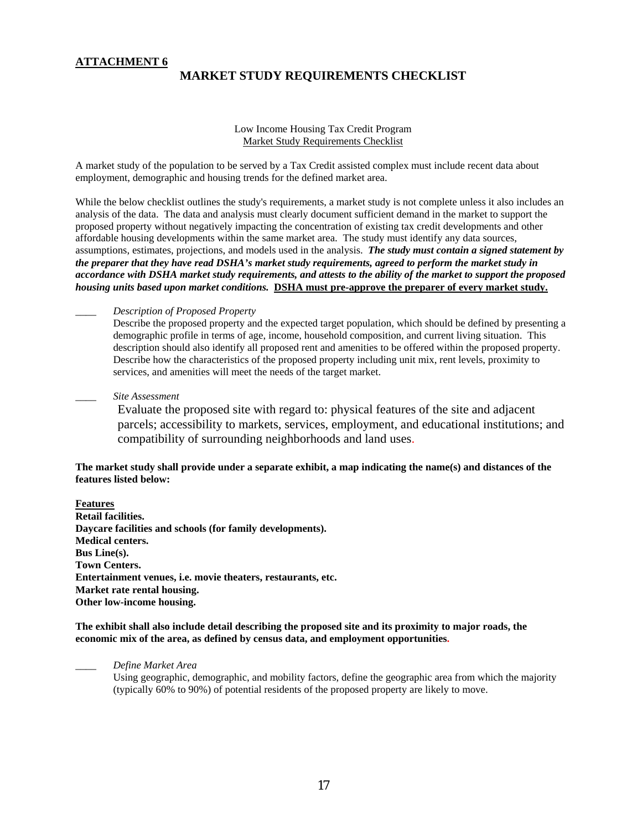# **MARKET STUDY REQUIREMENTS CHECKLIST**

Low Income Housing Tax Credit Program Market Study Requirements Checklist

A market study of the population to be served by a Tax Credit assisted complex must include recent data about employment, demographic and housing trends for the defined market area.

While the below checklist outlines the study's requirements, a market study is not complete unless it also includes an analysis of the data. The data and analysis must clearly document sufficient demand in the market to support the proposed property without negatively impacting the concentration of existing tax credit developments and other affordable housing developments within the same market area. The study must identify any data sources, assumptions, estimates, projections, and models used in the analysis. *The study must contain a signed statement by the preparer that they have read DSHA's market study requirements, agreed to perform the market study in accordance with DSHA market study requirements, and attests to the ability of the market to support the proposed housing units based upon market conditions.* **DSHA must pre-approve the preparer of every market study.**

#### \_\_\_\_ *Description of Proposed Property*

Describe the proposed property and the expected target population, which should be defined by presenting a demographic profile in terms of age, income, household composition, and current living situation. This description should also identify all proposed rent and amenities to be offered within the proposed property. Describe how the characteristics of the proposed property including unit mix, rent levels, proximity to services, and amenities will meet the needs of the target market.

#### \_\_\_\_ *Site Assessment*

Evaluate the proposed site with regard to: physical features of the site and adjacent parcels; accessibility to markets, services, employment, and educational institutions; and compatibility of surrounding neighborhoods and land uses.

**The market study shall provide under a separate exhibit, a map indicating the name(s) and distances of the features listed below:** 

**Features Retail facilities. Daycare facilities and schools (for family developments). Medical centers. Bus Line(s). Town Centers. Entertainment venues, i.e. movie theaters, restaurants, etc. Market rate rental housing. Other low-income housing.** 

**The exhibit shall also include detail describing the proposed site and its proximity to major roads, the economic mix of the area, as defined by census data, and employment opportunities.** 

#### \_\_\_\_ *Define Market Area*

Using geographic, demographic, and mobility factors, define the geographic area from which the majority (typically 60% to 90%) of potential residents of the proposed property are likely to move.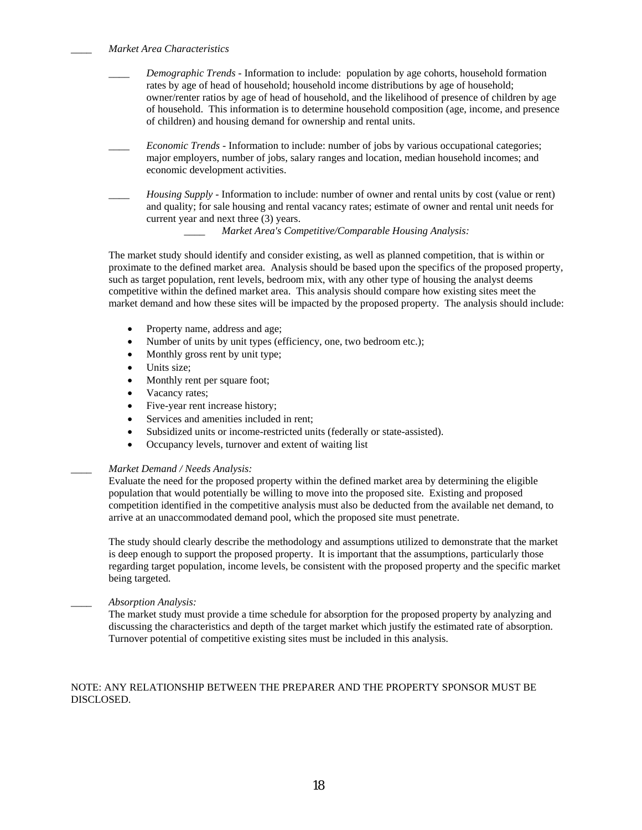\_\_\_\_ *Market Area Characteristics* 

- \_\_\_\_ *Demographic Trends* Information to include: population by age cohorts, household formation rates by age of head of household; household income distributions by age of household; owner/renter ratios by age of head of household, and the likelihood of presence of children by age of household. This information is to determine household composition (age, income, and presence of children) and housing demand for ownership and rental units.
- *Economic Trends* Information to include: number of jobs by various occupational categories; major employers, number of jobs, salary ranges and location, median household incomes; and economic development activities.
- *Housing Supply* Information to include: number of owner and rental units by cost (value or rent) and quality; for sale housing and rental vacancy rates; estimate of owner and rental unit needs for current year and next three (3) years.

\_\_\_\_ *Market Area's Competitive/Comparable Housing Analysis:* 

The market study should identify and consider existing, as well as planned competition, that is within or proximate to the defined market area. Analysis should be based upon the specifics of the proposed property, such as target population, rent levels, bedroom mix, with any other type of housing the analyst deems competitive within the defined market area. This analysis should compare how existing sites meet the market demand and how these sites will be impacted by the proposed property. The analysis should include:

- Property name, address and age;
- Number of units by unit types (efficiency, one, two bedroom etc.);
- Monthly gross rent by unit type;
- Units size;
- Monthly rent per square foot;
- Vacancy rates;
- Five-year rent increase history;
- Services and amenities included in rent:
- Subsidized units or income-restricted units (federally or state-assisted).
- Occupancy levels, turnover and extent of waiting list

#### \_\_\_\_ *Market Demand / Needs Analysis:*

Evaluate the need for the proposed property within the defined market area by determining the eligible population that would potentially be willing to move into the proposed site. Existing and proposed competition identified in the competitive analysis must also be deducted from the available net demand, to arrive at an unaccommodated demand pool, which the proposed site must penetrate.

The study should clearly describe the methodology and assumptions utilized to demonstrate that the market is deep enough to support the proposed property. It is important that the assumptions, particularly those regarding target population, income levels, be consistent with the proposed property and the specific market being targeted.

#### *\_\_\_\_ Absorption Analysis:*

The market study must provide a time schedule for absorption for the proposed property by analyzing and discussing the characteristics and depth of the target market which justify the estimated rate of absorption. Turnover potential of competitive existing sites must be included in this analysis.

#### NOTE: ANY RELATIONSHIP BETWEEN THE PREPARER AND THE PROPERTY SPONSOR MUST BE DISCLOSED.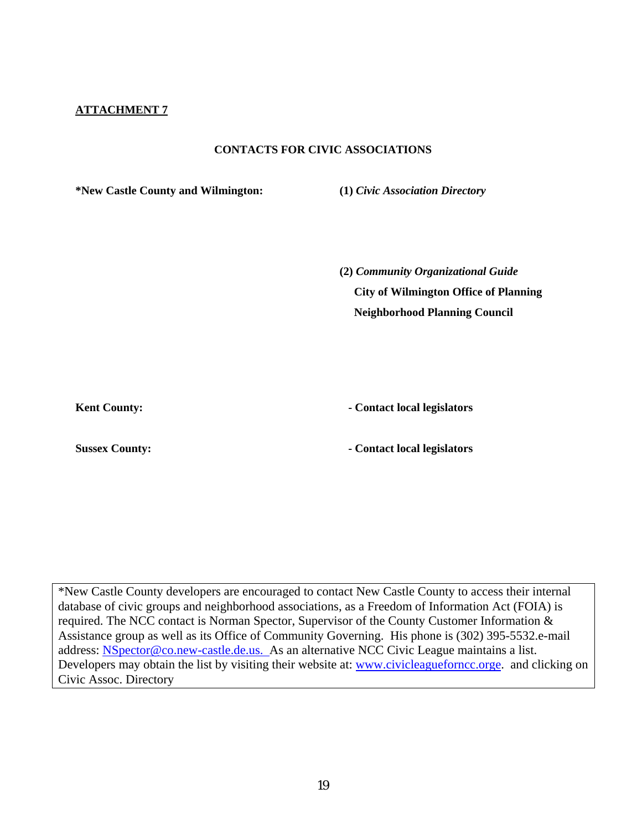#### **CONTACTS FOR CIVIC ASSOCIATIONS**

**\*New Castle County and Wilmington: (1)** *Civic Association Directory* 

**(2)** *Community Organizational Guide*   **City of Wilmington Office of Planning Neighborhood Planning Council** 

Kent County: **1999 Contact local legislators 1999 Contact local legislators** 

**Sussex County:**  $\qquad \qquad$  **Contact local legislators** 

\*New Castle County developers are encouraged to contact New Castle County to access their internal database of civic groups and neighborhood associations, as a Freedom of Information Act (FOIA) is required. The NCC contact is Norman Spector, Supervisor of the County Customer Information & Assistance group as well as its Office of Community Governing. His phone is (302) 395-5532.e-mail address: [NSpector@co.new-castle.de.us](mailto:NSpector@co.new-castle.de.us). As an alternative NCC Civic League maintains a list. Developers may obtain the list by visiting their website at: [www.civicleagueforncc.orge](http://www.civicleagueforncc.orge/). and clicking on Civic Assoc. Directory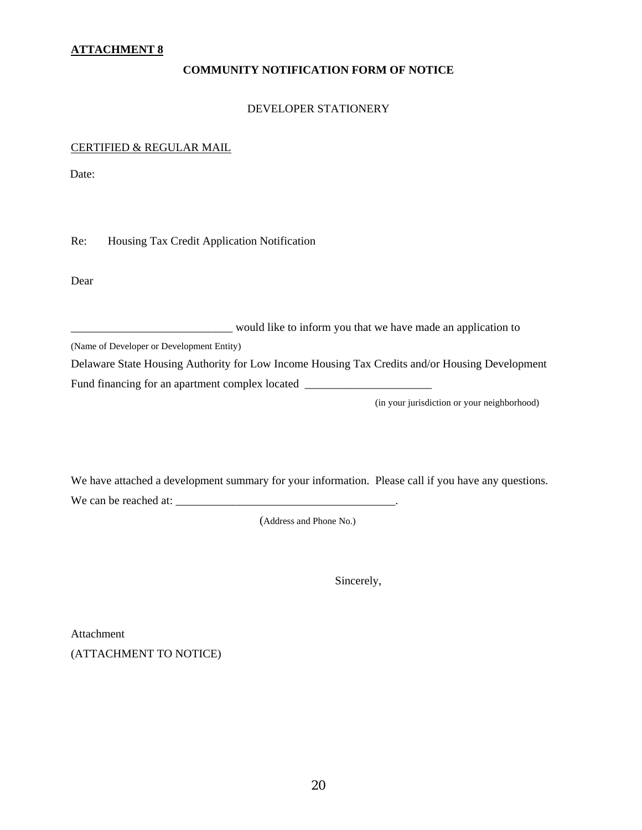### **COMMUNITY NOTIFICATION FORM OF NOTICE**

#### DEVELOPER STATIONERY

#### CERTIFIED & REGULAR MAIL

Date:

Re: Housing Tax Credit Application Notification

Dear

| would like to inform you that we have made an application to |  |
|--------------------------------------------------------------|--|
|--------------------------------------------------------------|--|

(Name of Developer or Development Entity)

Delaware State Housing Authority for Low Income Housing Tax Credits and/or Housing Development Fund financing for an apartment complex located \_\_\_\_\_\_\_\_\_\_\_\_\_\_\_\_\_\_\_\_\_\_\_\_\_\_\_\_\_\_\_\_\_

(in your jurisdiction or your neighborhood)

We have attached a development summary for your information. Please call if you have any questions. We can be reached at: \_\_\_\_\_\_\_\_\_\_\_\_\_\_\_\_\_\_\_\_\_\_\_\_\_\_\_\_\_\_\_\_\_\_\_\_\_\_.

(Address and Phone No.)

Sincerely,

Attachment (ATTACHMENT TO NOTICE)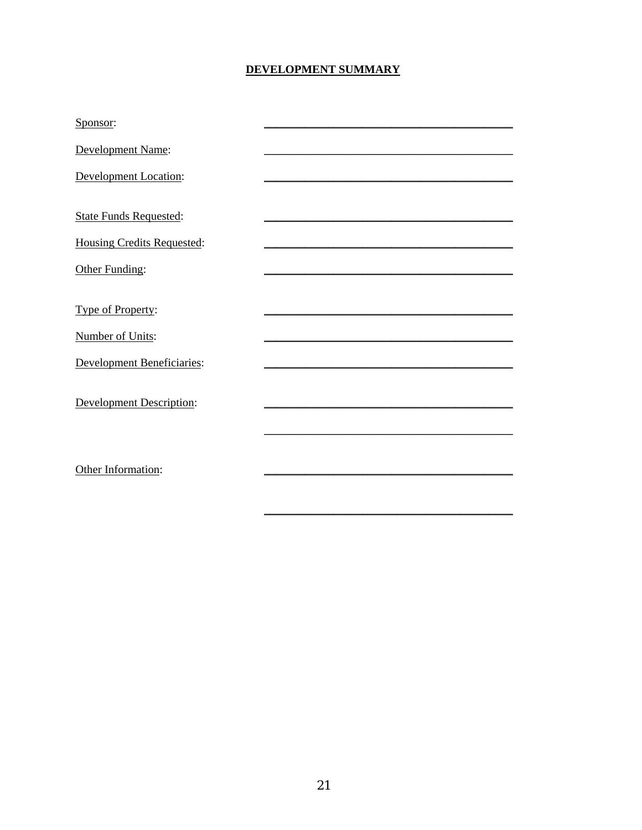# **DEVELOPMENT SUMMARY**

| Sponsor:                          |  |
|-----------------------------------|--|
| Development Name:                 |  |
| <b>Development Location:</b>      |  |
|                                   |  |
| <b>State Funds Requested:</b>     |  |
| <b>Housing Credits Requested:</b> |  |
| Other Funding:                    |  |
|                                   |  |
| Type of Property:                 |  |
| Number of Units:                  |  |
| <b>Development Beneficiaries:</b> |  |
|                                   |  |
| <b>Development Description:</b>   |  |
|                                   |  |
|                                   |  |
| Other Information:                |  |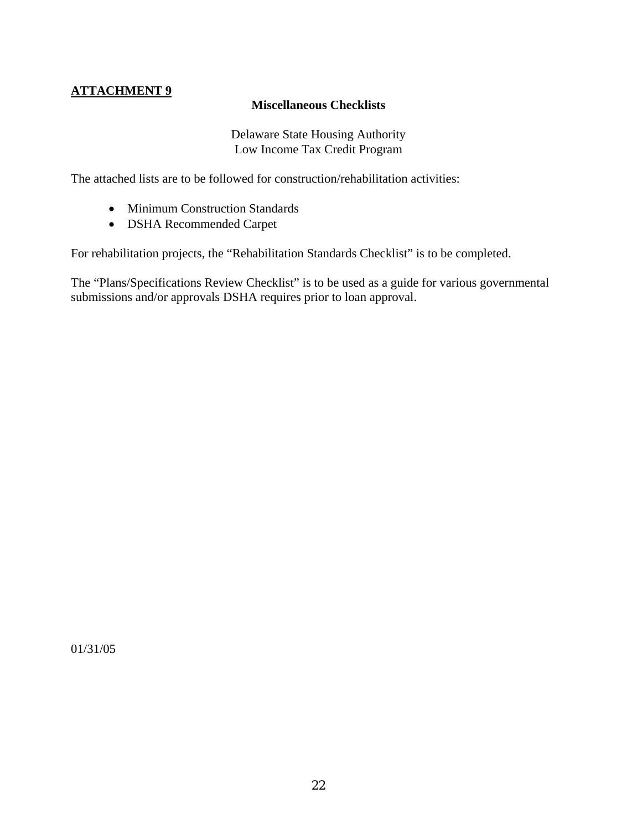# **Miscellaneous Checklists**

Delaware State Housing Authority Low Income Tax Credit Program

The attached lists are to be followed for construction/rehabilitation activities:

- Minimum Construction Standards
- DSHA Recommended Carpet

For rehabilitation projects, the "Rehabilitation Standards Checklist" is to be completed.

The "Plans/Specifications Review Checklist" is to be used as a guide for various governmental submissions and/or approvals DSHA requires prior to loan approval.

01/31/05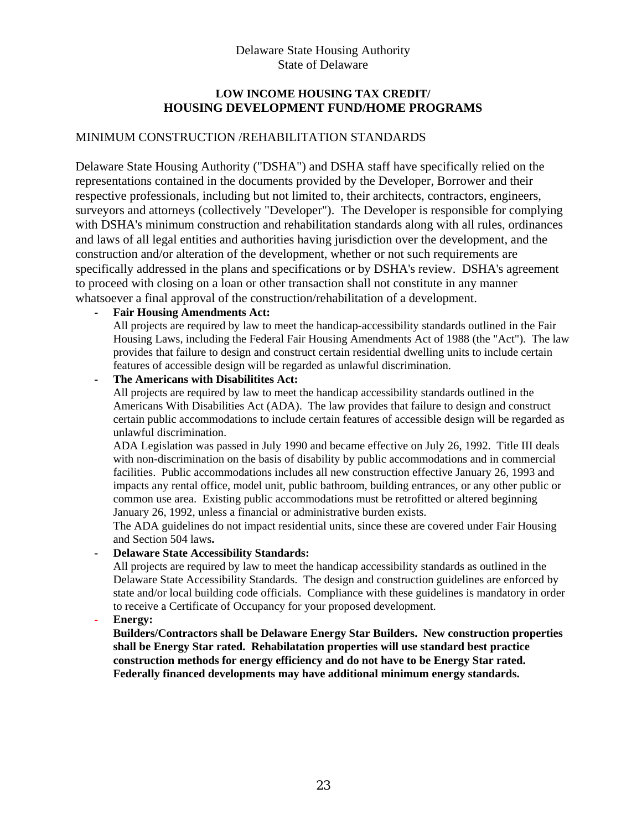# Delaware State Housing Authority State of Delaware

# **LOW INCOME HOUSING TAX CREDIT/ HOUSING DEVELOPMENT FUND/HOME PROGRAMS**

# MINIMUM CONSTRUCTION /REHABILITATION STANDARDS

Delaware State Housing Authority ("DSHA") and DSHA staff have specifically relied on the representations contained in the documents provided by the Developer, Borrower and their respective professionals, including but not limited to, their architects, contractors, engineers, surveyors and attorneys (collectively "Developer"). The Developer is responsible for complying with DSHA's minimum construction and rehabilitation standards along with all rules, ordinances and laws of all legal entities and authorities having jurisdiction over the development, and the construction and/or alteration of the development, whether or not such requirements are specifically addressed in the plans and specifications or by DSHA's review. DSHA's agreement to proceed with closing on a loan or other transaction shall not constitute in any manner whatsoever a final approval of the construction/rehabilitation of a development.

## **- Fair Housing Amendments Act:**

All projects are required by law to meet the handicap-accessibility standards outlined in the Fair Housing Laws, including the Federal Fair Housing Amendments Act of 1988 (the "Act"). The law provides that failure to design and construct certain residential dwelling units to include certain features of accessible design will be regarded as unlawful discrimination.

## **The Americans with Disabilitites Act:**

All projects are required by law to meet the handicap accessibility standards outlined in the Americans With Disabilities Act (ADA). The law provides that failure to design and construct certain public accommodations to include certain features of accessible design will be regarded as unlawful discrimination.

 ADA Legislation was passed in July 1990 and became effective on July 26, 1992. Title III deals with non-discrimination on the basis of disability by public accommodations and in commercial facilities. Public accommodations includes all new construction effective January 26, 1993 and impacts any rental office, model unit, public bathroom, building entrances, or any other public or common use area. Existing public accommodations must be retrofitted or altered beginning January 26, 1992, unless a financial or administrative burden exists.

 The ADA guidelines do not impact residential units, since these are covered under Fair Housing and Section 504 laws**.** 

## **Delaware State Accessibility Standards:**

 All projects are required by law to meet the handicap accessibility standards as outlined in the Delaware State Accessibility Standards. The design and construction guidelines are enforced by state and/or local building code officials. Compliance with these guidelines is mandatory in order to receive a Certificate of Occupancy for your proposed development.

Energy:

 **Builders/Contractors shall be Delaware Energy Star Builders. New construction properties shall be Energy Star rated. Rehabilatation properties will use standard best practice construction methods for energy efficiency and do not have to be Energy Star rated. Federally financed developments may have additional minimum energy standards.**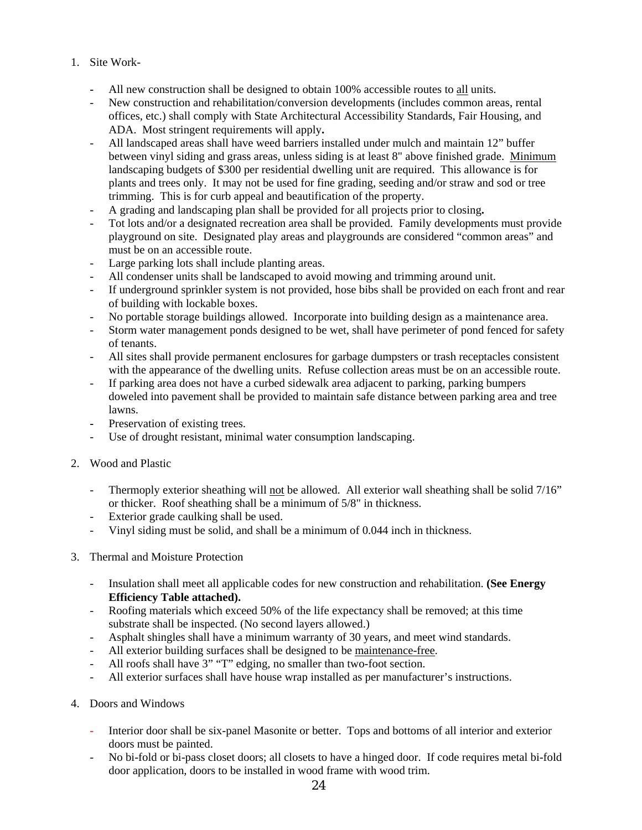- 1. Site Work-
	- All new construction shall be designed to obtain 100% accessible routes to all units.
	- New construction and rehabilitation/conversion developments (includes common areas, rental offices, etc.) shall comply with State Architectural Accessibility Standards, Fair Housing, and ADA. Most stringent requirements will apply**.**
	- All landscaped areas shall have weed barriers installed under mulch and maintain 12" buffer between vinyl siding and grass areas, unless siding is at least 8" above finished grade. Minimum landscaping budgets of \$300 per residential dwelling unit are required. This allowance is for plants and trees only. It may not be used for fine grading, seeding and/or straw and sod or tree trimming. This is for curb appeal and beautification of the property.
	- A grading and landscaping plan shall be provided for all projects prior to closing**.**
	- Tot lots and/or a designated recreation area shall be provided. Family developments must provide playground on site. Designated play areas and playgrounds are considered "common areas" and must be on an accessible route.
	- Large parking lots shall include planting areas.
	- All condenser units shall be landscaped to avoid mowing and trimming around unit.
	- If underground sprinkler system is not provided, hose bibs shall be provided on each front and rear of building with lockable boxes.
	- No portable storage buildings allowed. Incorporate into building design as a maintenance area.
	- Storm water management ponds designed to be wet, shall have perimeter of pond fenced for safety of tenants.
	- All sites shall provide permanent enclosures for garbage dumpsters or trash receptacles consistent with the appearance of the dwelling units. Refuse collection areas must be on an accessible route.
	- If parking area does not have a curbed sidewalk area adjacent to parking, parking bumpers doweled into pavement shall be provided to maintain safe distance between parking area and tree lawns.
	- **-** Preservation of existing trees.
	- Use of drought resistant, minimal water consumption landscaping.
- 2. Wood and Plastic
	- Thermoply exterior sheathing will not be allowed. All exterior wall sheathing shall be solid 7/16" or thicker. Roof sheathing shall be a minimum of 5/8" in thickness.
	- Exterior grade caulking shall be used.
	- Vinyl siding must be solid, and shall be a minimum of 0.044 inch in thickness.
- 3. Thermal and Moisture Protection
	- Insulation shall meet all applicable codes for new construction and rehabilitation. **(See Energy Efficiency Table attached).**
	- Roofing materials which exceed 50% of the life expectancy shall be removed; at this time substrate shall be inspected. (No second layers allowed.)
	- Asphalt shingles shall have a minimum warranty of 30 years, and meet wind standards.
	- All exterior building surfaces shall be designed to be maintenance-free.
	- All roofs shall have 3" "T" edging, no smaller than two-foot section.
	- All exterior surfaces shall have house wrap installed as per manufacturer's instructions.
- 4. Doors and Windows
	- Interior door shall be six-panel Masonite or better. Tops and bottoms of all interior and exterior doors must be painted.
	- No bi-fold or bi-pass closet doors; all closets to have a hinged door. If code requires metal bi-fold door application, doors to be installed in wood frame with wood trim.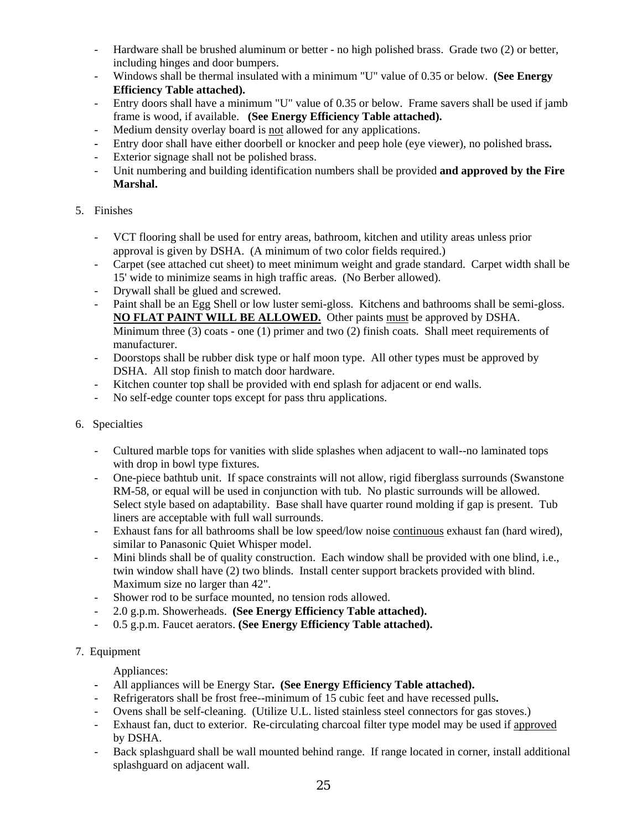- Hardware shall be brushed aluminum or better no high polished brass. Grade two (2) or better, including hinges and door bumpers.
- Windows shall be thermal insulated with a minimum "U" value of 0.35 or below. **(See Energy Efficiency Table attached).**
- Entry doors shall have a minimum "U" value of 0.35 or below. Frame savers shall be used if jamb frame is wood, if available. **(See Energy Efficiency Table attached).**
- Medium density overlay board is not allowed for any applications.
- Entry door shall have either doorbell or knocker and peep hole (eye viewer), no polished brass**.**
- Exterior signage shall not be polished brass.
- Unit numbering and building identification numbers shall be provided **and approved by the Fire Marshal.**

# 5. Finishes

- VCT flooring shall be used for entry areas, bathroom, kitchen and utility areas unless prior approval is given by DSHA. (A minimum of two color fields required.)
- Carpet (see attached cut sheet) to meet minimum weight and grade standard. Carpet width shall be 15' wide to minimize seams in high traffic areas. (No Berber allowed).
- Drywall shall be glued and screwed.
- Paint shall be an Egg Shell or low luster semi-gloss. Kitchens and bathrooms shall be semi-gloss. **NO FLAT PAINT WILL BE ALLOWED.** Other paints must be approved by DSHA. Minimum three (3) coats - one (1) primer and two (2) finish coats. Shall meet requirements of manufacturer.
- Doorstops shall be rubber disk type or half moon type. All other types must be approved by DSHA. All stop finish to match door hardware.
- Kitchen counter top shall be provided with end splash for adjacent or end walls.
- No self-edge counter tops except for pass thru applications.
- 6. Specialties
	- Cultured marble tops for vanities with slide splashes when adjacent to wall--no laminated tops with drop in bowl type fixtures.
	- One-piece bathtub unit. If space constraints will not allow, rigid fiberglass surrounds (Swanstone RM-58, or equal will be used in conjunction with tub. No plastic surrounds will be allowed. Select style based on adaptability. Base shall have quarter round molding if gap is present. Tub liners are acceptable with full wall surrounds.
	- Exhaust fans for all bathrooms shall be low speed/low noise continuous exhaust fan (hard wired), similar to Panasonic Quiet Whisper model.
	- Mini blinds shall be of quality construction. Each window shall be provided with one blind, i.e., twin window shall have (2) two blinds. Install center support brackets provided with blind. Maximum size no larger than 42".
	- Shower rod to be surface mounted, no tension rods allowed.
	- 2.0 g.p.m. Showerheads. **(See Energy Efficiency Table attached).**
	- 0.5 g.p.m. Faucet aerators. **(See Energy Efficiency Table attached).**

# 7. Equipment

Appliances:

- All appliances will be Energy Star**. (See Energy Efficiency Table attached).**
- Refrigerators shall be frost free--minimum of 15 cubic feet and have recessed pulls**.**
- Ovens shall be self-cleaning. (Utilize U.L. listed stainless steel connectors for gas stoves.)
- Exhaust fan, duct to exterior. Re-circulating charcoal filter type model may be used if approved by DSHA.
- Back splashguard shall be wall mounted behind range. If range located in corner, install additional splashguard on adjacent wall.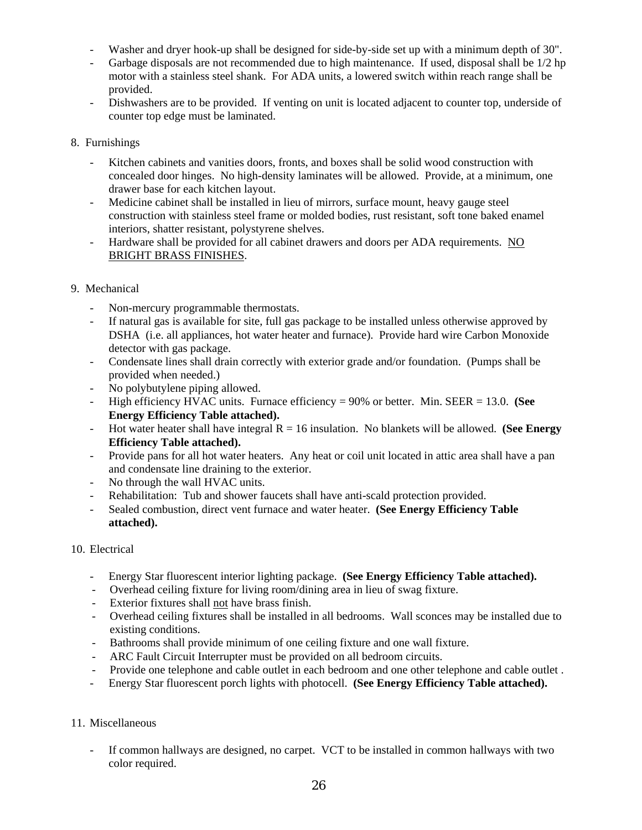- Washer and dryer hook-up shall be designed for side-by-side set up with a minimum depth of 30".
- Garbage disposals are not recommended due to high maintenance. If used, disposal shall be  $1/2$  hp motor with a stainless steel shank. For ADA units, a lowered switch within reach range shall be provided.
- Dishwashers are to be provided. If venting on unit is located adjacent to counter top, underside of counter top edge must be laminated.

## 8. Furnishings

- Kitchen cabinets and vanities doors, fronts, and boxes shall be solid wood construction with concealed door hinges. No high-density laminates will be allowed. Provide, at a minimum, one drawer base for each kitchen layout.
- Medicine cabinet shall be installed in lieu of mirrors, surface mount, heavy gauge steel construction with stainless steel frame or molded bodies, rust resistant, soft tone baked enamel interiors, shatter resistant, polystyrene shelves.
- Hardware shall be provided for all cabinet drawers and doors per ADA requirements. NO BRIGHT BRASS FINISHES.

## 9. Mechanical

- Non-mercury programmable thermostats.
- If natural gas is available for site, full gas package to be installed unless otherwise approved by DSHA (i.e. all appliances, hot water heater and furnace). Provide hard wire Carbon Monoxide detector with gas package.
- Condensate lines shall drain correctly with exterior grade and/or foundation. (Pumps shall be provided when needed.)
- No polybutylene piping allowed.
- High efficiency HVAC units. Furnace efficiency = 90% or better. Min. SEER = 13.0. **(See Energy Efficiency Table attached).**
- Hot water heater shall have integral R = 16 insulation. No blankets will be allowed. **(See Energy Efficiency Table attached).**
- Provide pans for all hot water heaters. Any heat or coil unit located in attic area shall have a pan and condensate line draining to the exterior.
- No through the wall HVAC units.
- Rehabilitation: Tub and shower faucets shall have anti-scald protection provided.
- Sealed combustion, direct vent furnace and water heater. **(See Energy Efficiency Table attached).**

#### 10. Electrical

- Energy Star fluorescent interior lighting package. **(See Energy Efficiency Table attached).**
- Overhead ceiling fixture for living room/dining area in lieu of swag fixture.
- Exterior fixtures shall not have brass finish.
- Overhead ceiling fixtures shall be installed in all bedrooms. Wall sconces may be installed due to existing conditions.
- Bathrooms shall provide minimum of one ceiling fixture and one wall fixture.
- ARC Fault Circuit Interrupter must be provided on all bedroom circuits.
- Provide one telephone and cable outlet in each bedroom and one other telephone and cable outlet .
- Energy Star fluorescent porch lights with photocell. **(See Energy Efficiency Table attached).**

# 11. Miscellaneous

If common hallways are designed, no carpet. VCT to be installed in common hallways with two color required.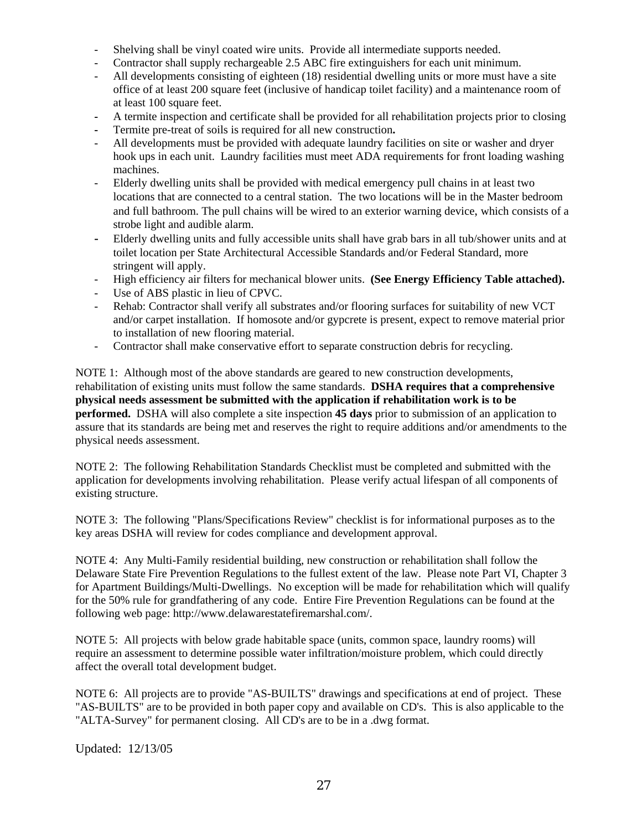- Shelving shall be vinyl coated wire units. Provide all intermediate supports needed.
- Contractor shall supply rechargeable 2.5 ABC fire extinguishers for each unit minimum.
- All developments consisting of eighteen (18) residential dwelling units or more must have a site office of at least 200 square feet (inclusive of handicap toilet facility) and a maintenance room of at least 100 square feet.
- A termite inspection and certificate shall be provided for all rehabilitation projects prior to closing
- **-** Termite pre-treat of soils is required for all new construction**.**
- All developments must be provided with adequate laundry facilities on site or washer and dryer hook ups in each unit. Laundry facilities must meet ADA requirements for front loading washing machines.
- Elderly dwelling units shall be provided with medical emergency pull chains in at least two locations that are connected to a central station. The two locations will be in the Master bedroom and full bathroom. The pull chains will be wired to an exterior warning device, which consists of a strobe light and audible alarm.
- **-** Elderly dwelling units and fully accessible units shall have grab bars in all tub/shower units and at toilet location per State Architectural Accessible Standards and/or Federal Standard, more stringent will apply.
- High efficiency air filters for mechanical blower units. **(See Energy Efficiency Table attached).**
- Use of ABS plastic in lieu of CPVC.
- Rehab: Contractor shall verify all substrates and/or flooring surfaces for suitability of new VCT and/or carpet installation. If homosote and/or gypcrete is present, expect to remove material prior to installation of new flooring material.
- Contractor shall make conservative effort to separate construction debris for recycling.

NOTE 1: Although most of the above standards are geared to new construction developments, rehabilitation of existing units must follow the same standards. **DSHA requires that a comprehensive physical needs assessment be submitted with the application if rehabilitation work is to be performed.** DSHA will also complete a site inspection **45 days** prior to submission of an application to assure that its standards are being met and reserves the right to require additions and/or amendments to the physical needs assessment.

NOTE 2: The following Rehabilitation Standards Checklist must be completed and submitted with the application for developments involving rehabilitation. Please verify actual lifespan of all components of existing structure.

NOTE 3: The following "Plans/Specifications Review" checklist is for informational purposes as to the key areas DSHA will review for codes compliance and development approval.

NOTE 4: Any Multi-Family residential building, new construction or rehabilitation shall follow the Delaware State Fire Prevention Regulations to the fullest extent of the law. Please note Part VI, Chapter 3 for Apartment Buildings/Multi-Dwellings. No exception will be made for rehabilitation which will qualify for the 50% rule for grandfathering of any code. Entire Fire Prevention Regulations can be found at the following web page: http://www.delawarestatefiremarshal.com/.

NOTE 5: All projects with below grade habitable space (units, common space, laundry rooms) will require an assessment to determine possible water infiltration/moisture problem, which could directly affect the overall total development budget.

NOTE 6: All projects are to provide "AS-BUILTS" drawings and specifications at end of project. These "AS-BUILTS" are to be provided in both paper copy and available on CD's. This is also applicable to the "ALTA-Survey" for permanent closing. All CD's are to be in a .dwg format.

Updated: 12/13/05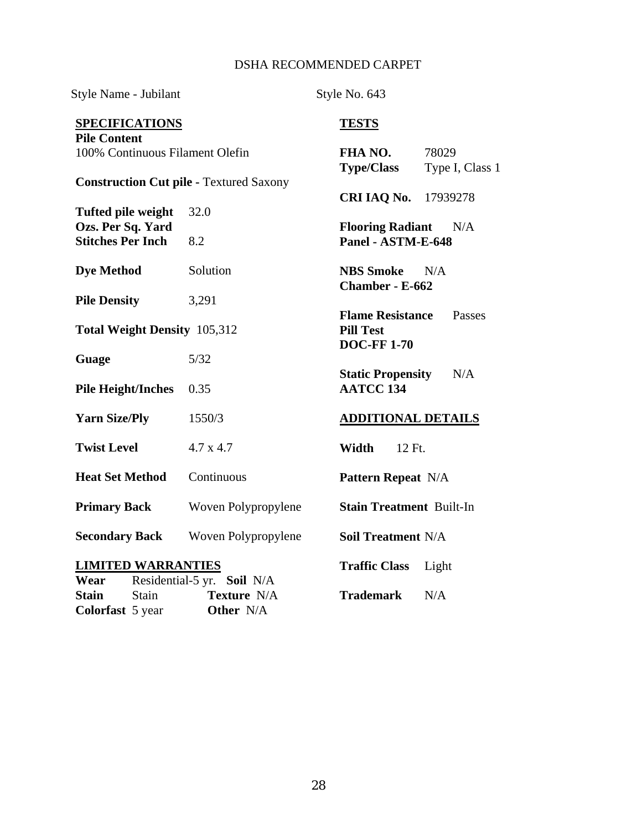# DSHA RECOMMENDED CARPET

| Style Name - Jubilant                                  |                                                               | Style No. 643                                                              |  |  |
|--------------------------------------------------------|---------------------------------------------------------------|----------------------------------------------------------------------------|--|--|
| <b>SPECIFICATIONS</b>                                  |                                                               | <b>TESTS</b>                                                               |  |  |
| <b>Pile Content</b><br>100% Continuous Filament Olefin |                                                               | FHA NO.<br>78029<br><b>Type/Class</b><br>Type I, Class 1                   |  |  |
|                                                        | <b>Construction Cut pile - Textured Saxony</b>                |                                                                            |  |  |
| Tufted pile weight                                     | 32.0                                                          | <b>CRI IAQ No.</b><br>17939278                                             |  |  |
| Ozs. Per Sq. Yard<br><b>Stitches Per Inch</b>          | 8.2                                                           | <b>Flooring Radiant</b><br>N/A<br>Panel - ASTM-E-648                       |  |  |
| <b>Dye Method</b>                                      | Solution                                                      | <b>NBS</b> Smoke<br>N/A<br><b>Chamber - E-662</b>                          |  |  |
| <b>Pile Density</b>                                    | 3,291                                                         |                                                                            |  |  |
| <b>Total Weight Density 105,312</b>                    |                                                               | <b>Flame Resistance</b><br>Passes<br><b>Pill Test</b><br><b>DOC-FF1-70</b> |  |  |
| Guage                                                  | 5/32                                                          |                                                                            |  |  |
| <b>Pile Height/Inches</b>                              | 0.35                                                          | N/A<br><b>Static Propensity</b><br><b>AATCC 134</b>                        |  |  |
| <b>Yarn Size/Ply</b>                                   | 1550/3                                                        | <b>ADDITIONAL DETAILS</b>                                                  |  |  |
| <b>Twist Level</b>                                     | $4.7 \times 4.7$                                              | Width<br>12 Ft.                                                            |  |  |
| <b>Heat Set Method</b>                                 | Continuous                                                    | <b>Pattern Repeat N/A</b>                                                  |  |  |
| <b>Primary Back</b>                                    | Woven Polypropylene                                           | <b>Stain Treatment Built-In</b>                                            |  |  |
| <b>Secondary Back</b>                                  | Woven Polypropylene                                           | <b>Soil Treatment N/A</b>                                                  |  |  |
| <b>LIMITED WARRANTIES</b>                              |                                                               | <b>Traffic Class</b><br>Light                                              |  |  |
| Wear<br><b>Stain</b><br>Stain<br>Colorfast 5 year      | Residential-5 yr. Soil N/A<br><b>Texture N/A</b><br>Other N/A | <b>Trademark</b><br>N/A                                                    |  |  |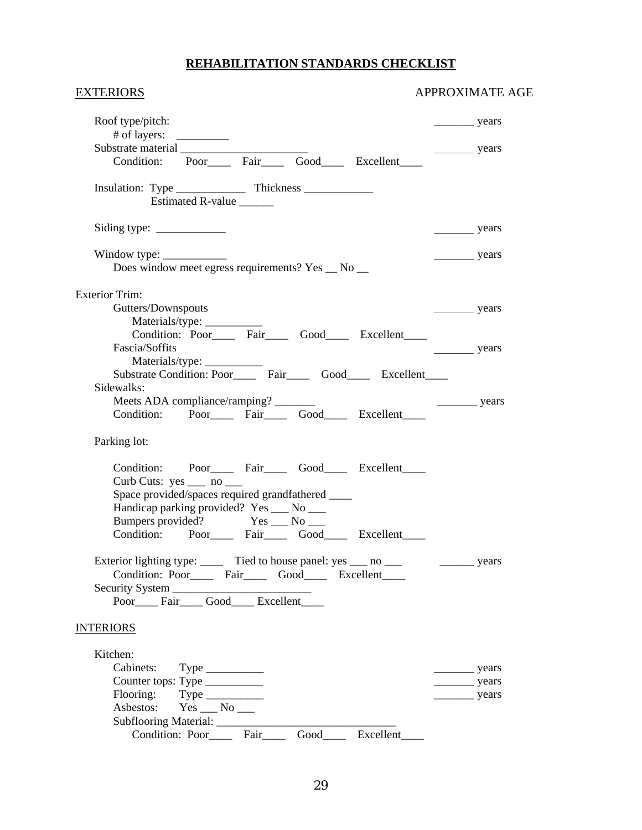# **REHABILITATION STANDARDS CHECKLIST**

| <b>EXTERIORS</b>                                                          |                                                                                                                                                                                                                                                                                                                                                                                                                                                                                                              |      |      |                                                                            | <b>APPROXIMATE AGE</b> |  |
|---------------------------------------------------------------------------|--------------------------------------------------------------------------------------------------------------------------------------------------------------------------------------------------------------------------------------------------------------------------------------------------------------------------------------------------------------------------------------------------------------------------------------------------------------------------------------------------------------|------|------|----------------------------------------------------------------------------|------------------------|--|
| Roof type/pitch:<br># of layers: $\frac{1}{\sqrt{1-\frac{1}{2}}}\$        |                                                                                                                                                                                                                                                                                                                                                                                                                                                                                                              |      |      |                                                                            | $\frac{\ }{\ }$ years  |  |
|                                                                           |                                                                                                                                                                                                                                                                                                                                                                                                                                                                                                              |      |      |                                                                            | $\frac{\ }{\ }$ years  |  |
|                                                                           |                                                                                                                                                                                                                                                                                                                                                                                                                                                                                                              |      |      | Condition: Poor____ Fair____ Good____ Excellent____                        |                        |  |
|                                                                           | Estimated R-value                                                                                                                                                                                                                                                                                                                                                                                                                                                                                            |      |      |                                                                            |                        |  |
|                                                                           |                                                                                                                                                                                                                                                                                                                                                                                                                                                                                                              |      |      |                                                                            |                        |  |
| Siding type: $\frac{\phantom{1}}{\phantom{1}}$                            |                                                                                                                                                                                                                                                                                                                                                                                                                                                                                                              |      |      |                                                                            | years                  |  |
| Window type: $\frac{\qquad \qquad }{\qquad \qquad }$                      |                                                                                                                                                                                                                                                                                                                                                                                                                                                                                                              |      |      |                                                                            | years                  |  |
| Does window meet egress requirements? Yes _ No _                          |                                                                                                                                                                                                                                                                                                                                                                                                                                                                                                              |      |      |                                                                            |                        |  |
| <b>Exterior Trim:</b>                                                     |                                                                                                                                                                                                                                                                                                                                                                                                                                                                                                              |      |      |                                                                            |                        |  |
| Gutters/Downspouts                                                        |                                                                                                                                                                                                                                                                                                                                                                                                                                                                                                              |      |      |                                                                            | years                  |  |
|                                                                           | Materials/type: ___________                                                                                                                                                                                                                                                                                                                                                                                                                                                                                  |      |      |                                                                            |                        |  |
|                                                                           |                                                                                                                                                                                                                                                                                                                                                                                                                                                                                                              |      |      | Condition: Poor_____ Fair_____ Good_____ Excellent____                     |                        |  |
| Fascia/Soffits                                                            |                                                                                                                                                                                                                                                                                                                                                                                                                                                                                                              |      |      |                                                                            | years                  |  |
|                                                                           | Materials/type: ____________                                                                                                                                                                                                                                                                                                                                                                                                                                                                                 |      |      |                                                                            |                        |  |
|                                                                           |                                                                                                                                                                                                                                                                                                                                                                                                                                                                                                              |      |      | Substrate Condition: Poor_______ Fair________ Good________ Excellent______ |                        |  |
| Sidewalks:                                                                |                                                                                                                                                                                                                                                                                                                                                                                                                                                                                                              |      |      |                                                                            |                        |  |
| Meets ADA compliance/ramping?                                             |                                                                                                                                                                                                                                                                                                                                                                                                                                                                                                              |      |      | Condition: Poor____ Fair____ Good____ Excellent____                        | $\frac{\ }{\ }$ years  |  |
|                                                                           |                                                                                                                                                                                                                                                                                                                                                                                                                                                                                                              |      |      |                                                                            |                        |  |
| Parking lot:                                                              |                                                                                                                                                                                                                                                                                                                                                                                                                                                                                                              |      |      |                                                                            |                        |  |
|                                                                           |                                                                                                                                                                                                                                                                                                                                                                                                                                                                                                              |      |      |                                                                            |                        |  |
|                                                                           |                                                                                                                                                                                                                                                                                                                                                                                                                                                                                                              |      |      | Condition: Poor____ Fair____ Good____ Excellent____                        |                        |  |
| Curb Cuts: yes ___ no ___                                                 |                                                                                                                                                                                                                                                                                                                                                                                                                                                                                                              |      |      |                                                                            |                        |  |
| Space provided/spaces required grandfathered ____                         |                                                                                                                                                                                                                                                                                                                                                                                                                                                                                                              |      |      |                                                                            |                        |  |
| Handicap parking provided? Yes __ No __<br>Bumpers provided? Yes __ No __ |                                                                                                                                                                                                                                                                                                                                                                                                                                                                                                              |      |      |                                                                            |                        |  |
|                                                                           |                                                                                                                                                                                                                                                                                                                                                                                                                                                                                                              |      |      | Condition: Poor Fair Good Excellent                                        |                        |  |
|                                                                           |                                                                                                                                                                                                                                                                                                                                                                                                                                                                                                              |      |      |                                                                            |                        |  |
| Exterior lighting type: ______ Tied to house panel: yes ____ no ____      |                                                                                                                                                                                                                                                                                                                                                                                                                                                                                                              |      |      |                                                                            | $\frac{\ }{\ }$ years  |  |
| Condition: Poor_____ Fair_____ Good_____ Excellent____                    |                                                                                                                                                                                                                                                                                                                                                                                                                                                                                                              |      |      |                                                                            |                        |  |
|                                                                           |                                                                                                                                                                                                                                                                                                                                                                                                                                                                                                              |      |      |                                                                            |                        |  |
| Poor____Fair____Good____Excellent___                                      |                                                                                                                                                                                                                                                                                                                                                                                                                                                                                                              |      |      |                                                                            |                        |  |
| <b>INTERIORS</b>                                                          |                                                                                                                                                                                                                                                                                                                                                                                                                                                                                                              |      |      |                                                                            |                        |  |
|                                                                           |                                                                                                                                                                                                                                                                                                                                                                                                                                                                                                              |      |      |                                                                            |                        |  |
| Kitchen:                                                                  |                                                                                                                                                                                                                                                                                                                                                                                                                                                                                                              |      |      |                                                                            |                        |  |
| Cabinets:                                                                 |                                                                                                                                                                                                                                                                                                                                                                                                                                                                                                              |      |      |                                                                            | $\frac{\ }{\ }$ years  |  |
| Counter tops: Type __________                                             |                                                                                                                                                                                                                                                                                                                                                                                                                                                                                                              |      |      |                                                                            | $\frac{\ }{\ }$ years  |  |
| Flooring:                                                                 | $\begin{array}{c}\n\text{Type } \quad \quad \quad \text{N0} \quad \quad \quad \text{N0} \quad \quad \quad \text{N1} \quad \quad \text{N2} \quad \quad \text{N4} \quad \quad \text{N5} \quad \quad \text{N6} \quad \quad \text{N6} \quad \quad \text{N6} \quad \quad \text{N9} \quad \quad \text{N1} \quad \quad \text{N2} \quad \quad \text{N4} \quad \quad \text{N5} \quad \quad \text{N6} \quad \quad \text{N6} \quad \quad \text{N7} \quad \quad \text{N8} \quad \quad \text{N9} \quad \quad \text{N1} \$ |      |      |                                                                            | years                  |  |
| Asbestos:                                                                 |                                                                                                                                                                                                                                                                                                                                                                                                                                                                                                              |      |      |                                                                            |                        |  |
| Subflooring Material: ________                                            |                                                                                                                                                                                                                                                                                                                                                                                                                                                                                                              |      |      |                                                                            |                        |  |
|                                                                           | Condition: Poor____                                                                                                                                                                                                                                                                                                                                                                                                                                                                                          | Fair | Good | Excellent                                                                  |                        |  |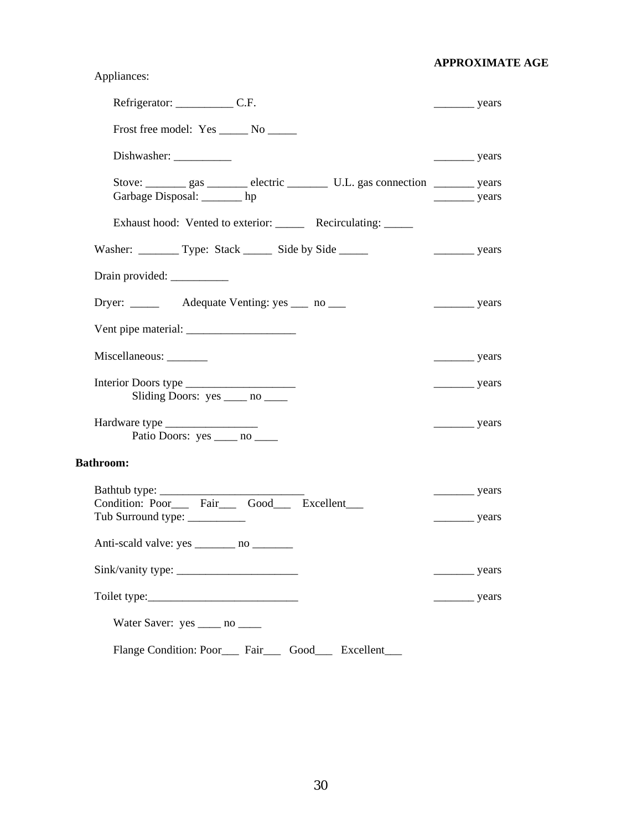# **APPROXIMATE AGE**

| Appliances:                                                                                                                |                       |
|----------------------------------------------------------------------------------------------------------------------------|-----------------------|
| Refrigerator: C.F.                                                                                                         | years                 |
| Frost free model: Yes ______ No _____                                                                                      |                       |
|                                                                                                                            | $\frac{\ }{\ }$ years |
| Stove: __________ gas _________ electric ____________ U.L. gas connection __________ years<br>Garbage Disposal: _______ hp | $\frac{\ }{\ }$ years |
| Exhaust hood: Vented to exterior: _________ Recirculating: ______                                                          |                       |
| Washer: _________ Type: Stack _______ Side by Side ______                                                                  | $\frac{\ }{\ }$ years |
|                                                                                                                            |                       |
| Dryer: ___________ Adequate Venting: yes ______ no _____                                                                   | $\frac{\ }{\ }$ years |
|                                                                                                                            |                       |
| Miscellaneous:                                                                                                             | $\frac{\ }{\ }$ years |
| Interior Doors type<br>Sliding Doors: yes _____ no _____                                                                   | $\frac{\ }{\ }$ years |
| Patio Doors: yes _____ no _____                                                                                            | $\frac{\ }{\ }$ years |
| <b>Bathroom:</b>                                                                                                           |                       |
| Bathtub type:<br>Condition: Poor___ Fair___ Good___ Excellent___                                                           | $\frac{\ }{\ }$ years |
| Tub Surround type: __________                                                                                              | $\frac{\ }{\ }$ years |
| Anti-scald valve: yes _________ no _________                                                                               |                       |
|                                                                                                                            | years                 |
|                                                                                                                            | $-$ years             |
| Water Saver: yes _____ no _____                                                                                            |                       |
| Flange Condition: Poor___ Fair___ Good___ Excellent_                                                                       |                       |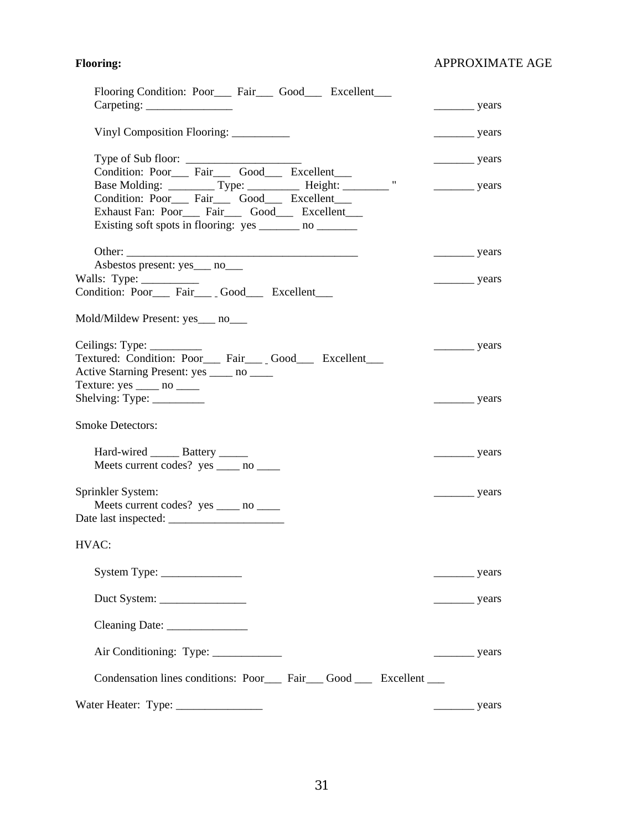# **Flooring:** APPROXIMATE AGE

| Flooring Condition: Poor___ Fair___ Good___ Excellent___                                                           |                            |
|--------------------------------------------------------------------------------------------------------------------|----------------------------|
|                                                                                                                    |                            |
| Vinyl Composition Flooring: ___________                                                                            | $\frac{\ }{\ }$ years      |
| Type of Sub floor:                                                                                                 | $\frac{\ }{\ }$ years      |
| Condition: Poor___ Fair___ Good___ Excellent___                                                                    | $\frac{\ }{\ }$ years      |
| Base Molding: __________ Type: ____________ Height: _________ "<br>Condition: Poor___ Fair___ Good___ Excellent___ |                            |
| Exhaust Fan: Poor___ Fair___ Good___ Excellent___                                                                  |                            |
| Existing soft spots in flooring: yes ________ no _______                                                           |                            |
|                                                                                                                    | $\frac{\ }{\ }$ years      |
| Asbestos present: yes ____ no____                                                                                  |                            |
| Condition: Poor___ Fair____ Good___ Excellent___                                                                   | $\frac{\ }{\ }$ years      |
|                                                                                                                    |                            |
| Mold/Mildew Present: yes__ no__                                                                                    |                            |
| Ceilings: Type: _______                                                                                            | $\frac{1}{2}$ years        |
| Textured: Condition: Poor___ Fair____ Good___ Excellent___                                                         |                            |
| Active Starning Present: yes _____ no ____                                                                         |                            |
| Texture: $yes \_\_ no \_\_ no \_\_$                                                                                |                            |
| Shelving: Type: __________                                                                                         | $\frac{\ }{\ }$ years      |
| <b>Smoke Detectors:</b>                                                                                            |                            |
| Hard-wired _______ Battery ______                                                                                  |                            |
| Meets current codes? yes _____ no _____                                                                            | $\frac{\ }{\ }$ years      |
|                                                                                                                    |                            |
| Sprinkler System:                                                                                                  | $\frac{\ }{\ }$ years      |
| Meets current codes? yes _____ no _____                                                                            |                            |
|                                                                                                                    |                            |
| HVAC:                                                                                                              |                            |
|                                                                                                                    | years                      |
|                                                                                                                    |                            |
|                                                                                                                    |                            |
|                                                                                                                    | $\frac{1}{\sqrt{2}}$ years |
| Condensation lines conditions: Poor___ Fair___ Good ___ Excellent ___                                              |                            |
|                                                                                                                    |                            |
|                                                                                                                    | years                      |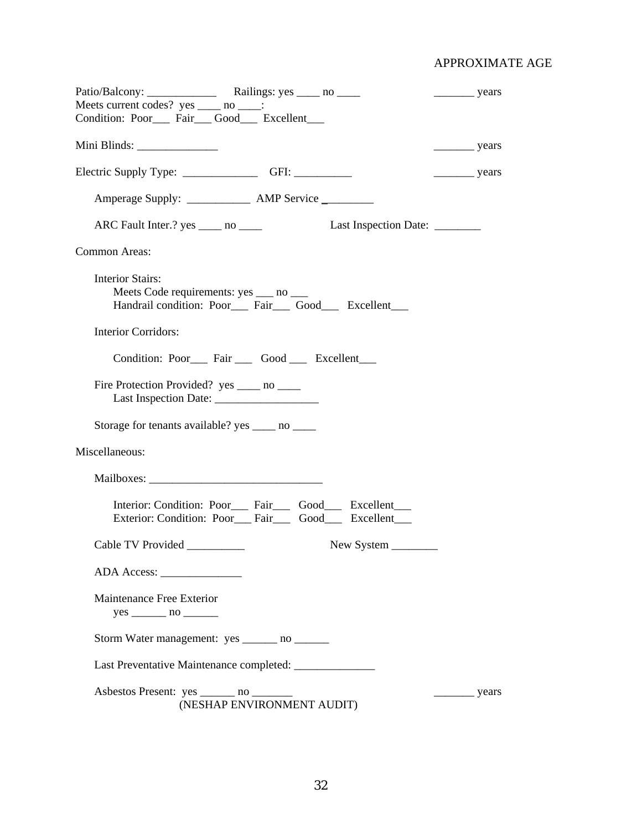# APPROXIMATE AGE

|                                                                                                                                |                            |                                 | $\frac{\ }{\ }$ years |
|--------------------------------------------------------------------------------------------------------------------------------|----------------------------|---------------------------------|-----------------------|
| Meets current codes? yes _____ no ____:                                                                                        |                            |                                 |                       |
| Condition: Poor___ Fair___ Good___ Excellent___                                                                                |                            |                                 |                       |
| Mini Blinds: _________________                                                                                                 |                            |                                 | $\frac{\ }{\ }$ years |
| Electric Supply Type: __________________GFI: _____________                                                                     |                            |                                 | $\frac{\ }{\ }$ years |
| Amperage Supply: ______________ AMP Service _________                                                                          |                            |                                 |                       |
| ARC Fault Inter.? yes ______ no _____                                                                                          |                            | Last Inspection Date: _________ |                       |
| Common Areas:                                                                                                                  |                            |                                 |                       |
| <b>Interior Stairs:</b><br>Meets Code requirements: yes ___ no ___<br>Handrail condition: Poor___ Fair___ Good___ Excellent___ |                            |                                 |                       |
| <b>Interior Corridors:</b>                                                                                                     |                            |                                 |                       |
| Condition: Poor___ Fair ___ Good ___ Excellent___                                                                              |                            |                                 |                       |
| Fire Protection Provided? yes _____ no _____                                                                                   |                            |                                 |                       |
| Storage for tenants available? yes _____ no ____                                                                               |                            |                                 |                       |
| Miscellaneous:                                                                                                                 |                            |                                 |                       |
|                                                                                                                                |                            |                                 |                       |
| Interior: Condition: Poor___ Fair___ Good___ Excellent___<br>Exterior: Condition: Poor___ Fair___ Good___ Excellent___         |                            |                                 |                       |
| Cable TV Provided __________                                                                                                   |                            |                                 |                       |
| ADA Access:                                                                                                                    |                            |                                 |                       |
| Maintenance Free Exterior<br>$yes \_\_ no \_\_\_ no \_\_\_$                                                                    |                            |                                 |                       |
| Storm Water management: yes _______ no ______                                                                                  |                            |                                 |                       |
|                                                                                                                                |                            |                                 |                       |
| Asbestos Present: yes _______ no _______                                                                                       | (NESHAP ENVIRONMENT AUDIT) |                                 | _ years               |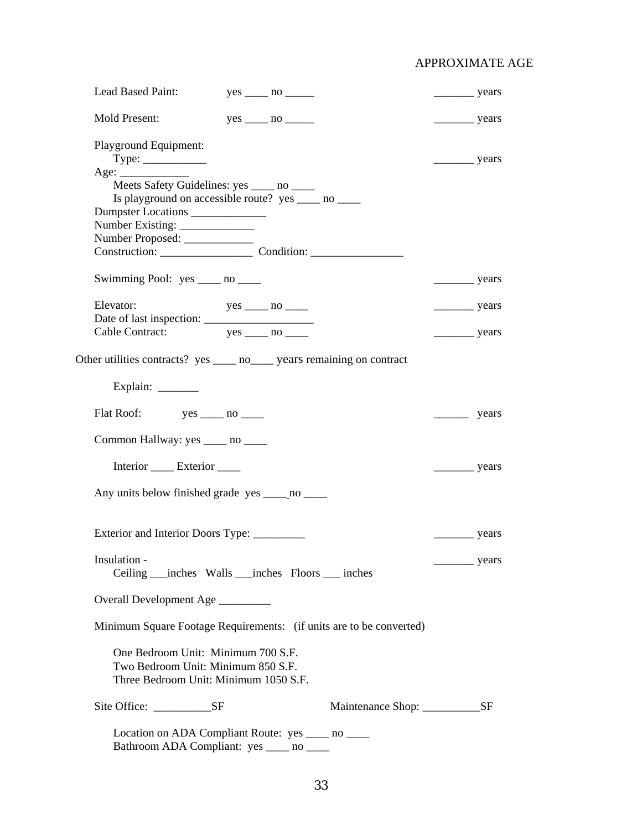# APPROXIMATE AGE

| <b>Lead Based Paint:</b>                                                                                          | $yes \_\_ no \_\_$   | $\frac{\ }{\ }$ years |
|-------------------------------------------------------------------------------------------------------------------|----------------------|-----------------------|
| Mold Present:                                                                                                     | $yes \_\_ no \_\_\_$ | $\frac{\ }{\ }$ years |
| Playground Equipment:                                                                                             |                      | $\frac{\ }{\ }$ years |
| Age:<br>Meets Safety Guidelines: yes ____ no ____                                                                 |                      |                       |
| Is playground on accessible route? yes _____ no _____<br>Dumpster Locations                                       |                      |                       |
|                                                                                                                   |                      |                       |
| Number Proposed: _____________                                                                                    |                      |                       |
| Construction: Condition: Condition:                                                                               |                      |                       |
| Swimming Pool: yes _____ no _____                                                                                 |                      | $\frac{\ }{\ }$ years |
| Elevator:                                                                                                         | $yes \_\_ no \_\_$   | $\frac{\ }{\ }$ years |
| Cable Contract: yes _____ no _____                                                                                |                      | $\frac{\ }{\ }$ years |
|                                                                                                                   |                      |                       |
| Other utilities contracts? yes ______ no_______ years remaining on contract                                       |                      |                       |
| Explain: _______                                                                                                  |                      |                       |
| Flat Roof: yes ______ no _____                                                                                    |                      | years                 |
| Common Hallway: yes _____ no _____                                                                                |                      |                       |
| Interior _______ Exterior _____                                                                                   |                      | $\frac{\ }{\ }$ years |
| Any units below finished grade yes _______ no ______                                                              |                      |                       |
|                                                                                                                   |                      | $\frac{\ }{\ }$ years |
|                                                                                                                   |                      |                       |
| Insulation -<br>Ceiling ____ inches Walls _____ inches Floors ______ inches                                       |                      | years                 |
| Overall Development Age ________                                                                                  |                      |                       |
| Minimum Square Footage Requirements: (if units are to be converted)                                               |                      |                       |
| One Bedroom Unit: Minimum 700 S.F.<br>Two Bedroom Unit: Minimum 850 S.F.<br>Three Bedroom Unit: Minimum 1050 S.F. |                      |                       |
|                                                                                                                   |                      |                       |
| Location on ADA Compliant Route: yes ____ no ___<br>Bathroom ADA Compliant: yes _____ no _____                    |                      |                       |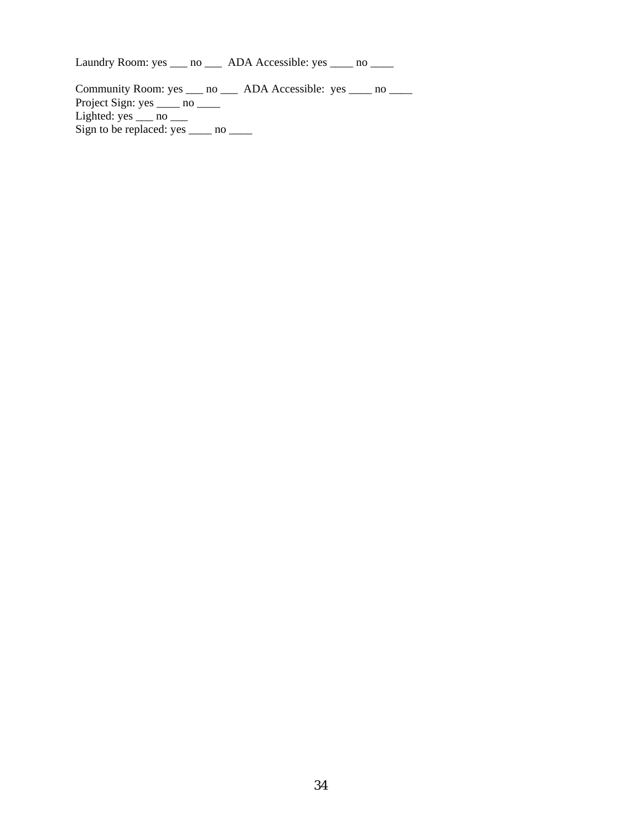Laundry Room: yes \_\_\_ no \_\_\_ ADA Accessible: yes \_\_\_ no \_\_\_

Community Room: yes \_\_\_ no \_\_\_ ADA Accessible: yes \_\_\_ no \_\_\_ Project Sign: yes \_\_\_\_\_ no \_\_\_\_\_ Lighted:  $yes \_\_ no \_\_$ Sign to be replaced: yes \_\_\_\_ no \_\_\_\_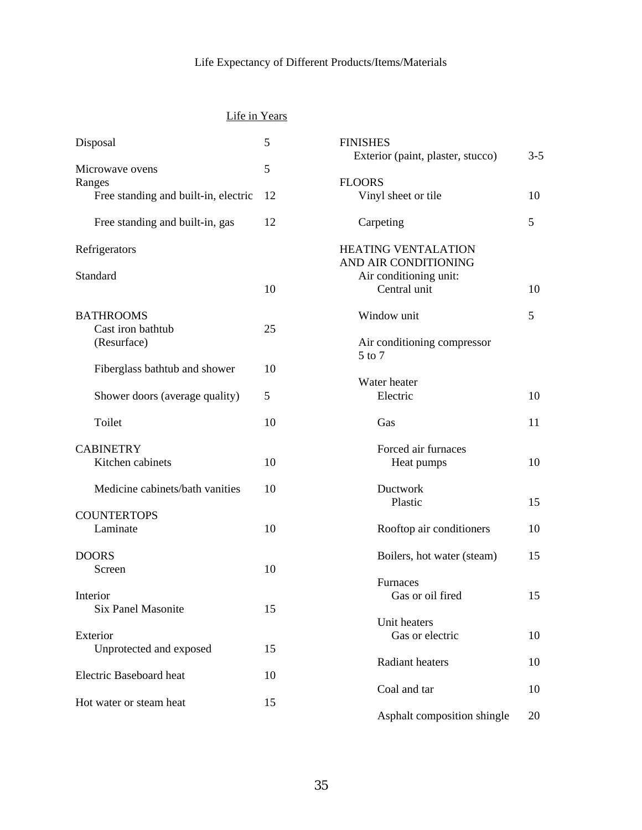# Life in Years

| Disposal                                             | 5  |
|------------------------------------------------------|----|
| Microwave ovens<br>Ranges                            | 5  |
| Free standing and built-in, electric                 | 12 |
| Free standing and built-in, gas                      | 12 |
| Refrigerators                                        |    |
| Standard                                             | 10 |
| <b>BATHROOMS</b><br>Cast iron bathtub<br>(Resurface) | 25 |
| Fiberglass bathtub and shower                        | 10 |
| Shower doors (average quality)                       | 5  |
| Toilet                                               | 10 |
| <b>CABINETRY</b><br>Kitchen cabinets                 | 10 |
| Medicine cabinets/bath vanities                      | 10 |
| <b>COUNTERTOPS</b><br>Laminate                       | 10 |
| <b>DOORS</b><br>Screen                               | 10 |
| Interior<br>Six Panel Masonite                       | 15 |
| Exterior<br>Unprotected and exposed                  | 15 |
| Electric Baseboard heat                              | 10 |
| Hot water or steam heat                              | 15 |
|                                                      |    |

| <b>FINISHES</b><br>Exterior (paint, plaster, stucco)                                         | $3 - 5$ |
|----------------------------------------------------------------------------------------------|---------|
| <b>FLOORS</b><br>Vinyl sheet or tile                                                         | 10      |
| Carpeting                                                                                    | 5       |
| <b>HEATING VENTALATION</b><br>AND AIR CONDITIONING<br>Air conditioning unit:<br>Central unit | 10      |
| Window unit                                                                                  | 5       |
| Air conditioning compressor<br>5 to 7                                                        |         |
| Water heater<br>Electric                                                                     | 10      |
| Gas                                                                                          | 11      |
| Forced air furnaces<br>Heat pumps                                                            | 10      |
| Ductwork<br>Plastic                                                                          | 15      |
| Rooftop air conditioners                                                                     | 10      |
| Boilers, hot water (steam)                                                                   | 15      |
| Furnaces<br>Gas or oil fired                                                                 | 15      |
| Unit heaters<br>Gas or electric                                                              | 10      |
| <b>Radiant heaters</b>                                                                       | 10      |
| Coal and tar                                                                                 | 10      |
| Asphalt composition shingle                                                                  | 20      |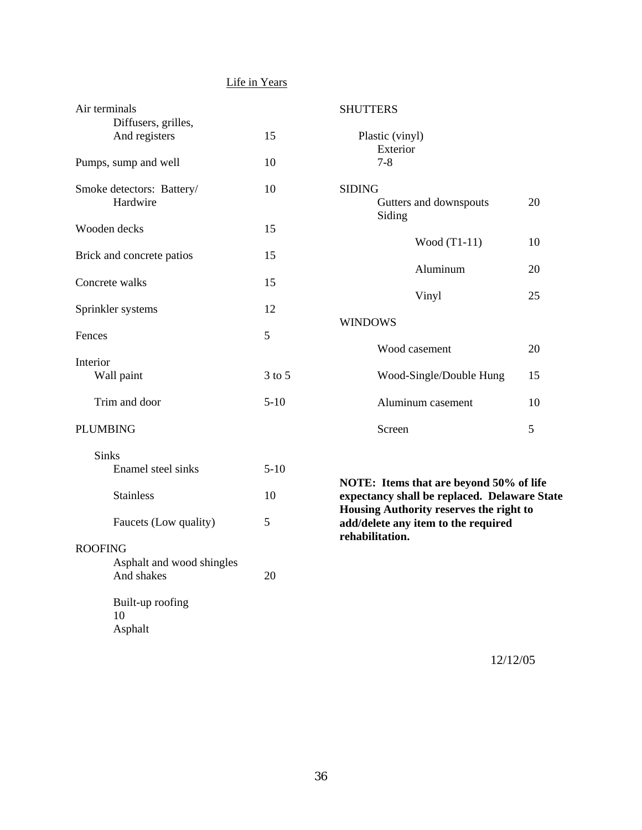# Life in Years

| Air terminals   |                                         |            | <b>SHUTTERS</b>                                                                         |    |
|-----------------|-----------------------------------------|------------|-----------------------------------------------------------------------------------------|----|
|                 | Diffusers, grilles,                     |            |                                                                                         |    |
|                 | And registers                           | 15         | Plastic (vinyl)<br>Exterior                                                             |    |
|                 | Pumps, sump and well                    | 10         | $7-8$                                                                                   |    |
|                 | Smoke detectors: Battery/<br>Hardwire   | 10         | <b>SIDING</b><br>Gutters and downspouts<br>Siding                                       | 20 |
|                 | Wooden decks                            | 15         | Wood $(T1-11)$                                                                          | 10 |
|                 | Brick and concrete patios               | 15         | Aluminum                                                                                | 20 |
|                 | Concrete walks                          | 15         |                                                                                         |    |
|                 | Sprinkler systems                       | 12         | Vinyl                                                                                   | 25 |
|                 |                                         |            | <b>WINDOWS</b>                                                                          |    |
| Fences          |                                         | 5          |                                                                                         |    |
| Interior        |                                         |            | Wood casement                                                                           | 20 |
|                 | Wall paint                              | $3$ to $5$ | Wood-Single/Double Hung                                                                 | 15 |
|                 | Trim and door                           | $5 - 10$   | Aluminum casement                                                                       | 10 |
| <b>PLUMBING</b> |                                         |            | Screen                                                                                  | 5  |
| <b>Sinks</b>    |                                         |            |                                                                                         |    |
|                 | Enamel steel sinks                      | $5-10$     | NOTE: Items that are beyond 50% of life                                                 |    |
|                 | <b>Stainless</b>                        | 10         | expectancy shall be replaced. Delaware State<br>Housing Authority reserves the right to |    |
|                 | Faucets (Low quality)                   | 5          | add/delete any item to the required<br>rehabilitation.                                  |    |
| <b>ROOFING</b>  |                                         |            |                                                                                         |    |
|                 | Asphalt and wood shingles<br>And shakes | 20         |                                                                                         |    |
|                 | Built-up roofing<br>10<br>Asphalt       |            |                                                                                         |    |

12/12/05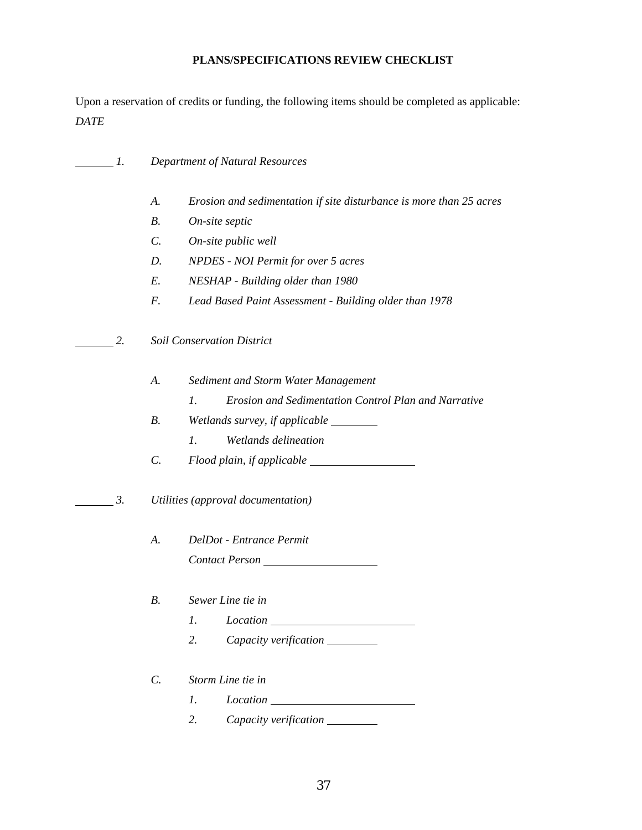# **PLANS/SPECIFICATIONS REVIEW CHECKLIST**

Upon a reservation of credits or funding, the following items should be completed as applicable: *DATE* 

| 1. |                 | Department of Natural Resources                                         |
|----|-----------------|-------------------------------------------------------------------------|
|    | A.              | Erosion and sedimentation if site disturbance is more than 25 acres     |
|    | <i>B</i> .      | On-site septic                                                          |
|    | $\mathcal{C}$ . | On-site public well                                                     |
|    | D.              | <b>NPDES</b> - NOI Permit for over 5 acres                              |
|    | E.              | NESHAP - Building older than 1980                                       |
|    | F.              | Lead Based Paint Assessment - Building older than 1978                  |
| 2. |                 | <b>Soil Conservation District</b>                                       |
|    | A.              | Sediment and Storm Water Management                                     |
|    |                 | Erosion and Sedimentation Control Plan and Narrative<br>$\mathcal{I}$ . |
|    | В.              | Wetlands survey, if applicable ________                                 |
|    |                 | Wetlands delineation<br>1.                                              |
|    | $\mathcal{C}$ . |                                                                         |
| 3. |                 | Utilities (approval documentation)                                      |
|    | A.              | DelDot - Entrance Permit                                                |
|    |                 | Contact Person                                                          |
|    | <i>B</i> .      | Sewer Line tie in                                                       |
|    |                 | 1. Location                                                             |
|    |                 | 2.<br>Capacity verification _______                                     |
|    | $\mathcal{C}$ . | Storm Line tie in                                                       |
|    |                 | $\mathfrak{1}.$                                                         |
|    |                 | 2.<br>Capacity verification ________                                    |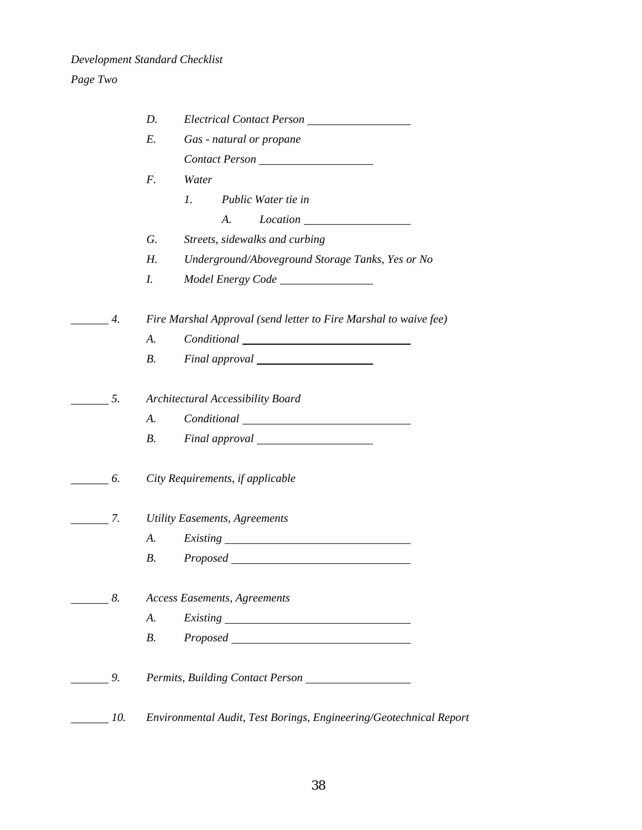# *Page Two*

|                  | D.<br>Electrical Contact Person                                                                                                                                                                                                                                                                                                                                           |
|------------------|---------------------------------------------------------------------------------------------------------------------------------------------------------------------------------------------------------------------------------------------------------------------------------------------------------------------------------------------------------------------------|
|                  | E.<br>Gas - natural or propane                                                                                                                                                                                                                                                                                                                                            |
|                  |                                                                                                                                                                                                                                                                                                                                                                           |
|                  | F.<br>Water                                                                                                                                                                                                                                                                                                                                                               |
|                  | Public Water tie in<br>$\mathcal{I}$ .                                                                                                                                                                                                                                                                                                                                    |
|                  | A.                                                                                                                                                                                                                                                                                                                                                                        |
|                  | Streets, sidewalks and curbing<br>G.                                                                                                                                                                                                                                                                                                                                      |
|                  | Underground/Aboveground Storage Tanks, Yes or No<br>Н.                                                                                                                                                                                                                                                                                                                    |
|                  | I.                                                                                                                                                                                                                                                                                                                                                                        |
| 4.               | Fire Marshal Approval (send letter to Fire Marshal to waive fee)                                                                                                                                                                                                                                                                                                          |
|                  | A.<br>$\begin{picture}(15,10) \put(0,0){\vector(1,0){100}} \put(15,0){\vector(1,0){100}} \put(15,0){\vector(1,0){100}} \put(15,0){\vector(1,0){100}} \put(15,0){\vector(1,0){100}} \put(15,0){\vector(1,0){100}} \put(15,0){\vector(1,0){100}} \put(15,0){\vector(1,0){100}} \put(15,0){\vector(1,0){100}} \put(15,0){\vector(1,0){100}} \put(15,0){\vector(1,0){100}} \$ |
|                  | <i>B</i> .                                                                                                                                                                                                                                                                                                                                                                |
| 5.               | Architectural Accessibility Board                                                                                                                                                                                                                                                                                                                                         |
|                  | A.<br><i>Conditional</i>                                                                                                                                                                                                                                                                                                                                                  |
|                  | $B$ .                                                                                                                                                                                                                                                                                                                                                                     |
| 6.               | City Requirements, if applicable                                                                                                                                                                                                                                                                                                                                          |
| $\overline{7}$ . | <b>Utility Easements, Agreements</b>                                                                                                                                                                                                                                                                                                                                      |
|                  | A.<br><i>Existing</i>                                                                                                                                                                                                                                                                                                                                                     |
|                  | <i>B</i> .<br>Proposed Learning Contract Contract Contract Contract Contract Contract Contract Contract Contract Contract Contract Contract Contract Contract Contract Contract Contract Contract Contract Contract Contract Contract Contra                                                                                                                              |
| $\delta$ .       | <b>Access Easements, Agreements</b>                                                                                                                                                                                                                                                                                                                                       |
|                  | A.                                                                                                                                                                                                                                                                                                                                                                        |
|                  | <b>B.</b>                                                                                                                                                                                                                                                                                                                                                                 |
| 9.               |                                                                                                                                                                                                                                                                                                                                                                           |
| 10.              | Environmental Audit, Test Borings, Engineering/Geotechnical Report                                                                                                                                                                                                                                                                                                        |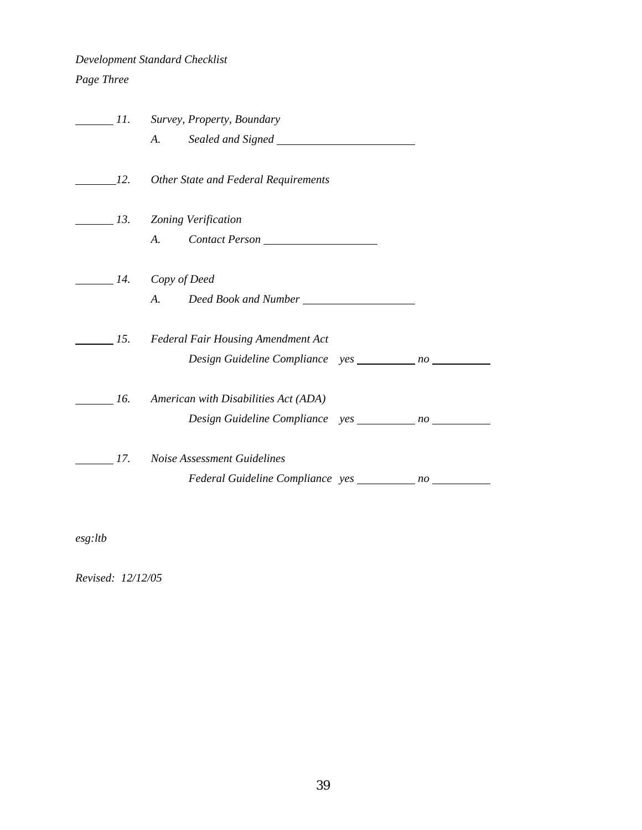# *Development Standard Checklist*

# *Page Three*

| II. | Survey, Property, Boundary                                  |  |
|-----|-------------------------------------------------------------|--|
|     | A.                                                          |  |
| 12. | Other State and Federal Requirements                        |  |
|     | 13. Zoning Verification                                     |  |
|     | A. Contact Person                                           |  |
|     | $\frac{1}{4}$ . Copy of Deed                                |  |
|     |                                                             |  |
|     | 15. Federal Fair Housing Amendment Act                      |  |
|     | Design Guideline Compliance yes ________ no ______          |  |
| 16. | American with Disabilities Act (ADA)                        |  |
|     | Design Guideline Compliance yes __________ no ________      |  |
| 17. | Noise Assessment Guidelines                                 |  |
|     | Federal Guideline Compliance yes ____________ no __________ |  |
|     |                                                             |  |

*esg:ltb* 

*Revised: 12/12/05*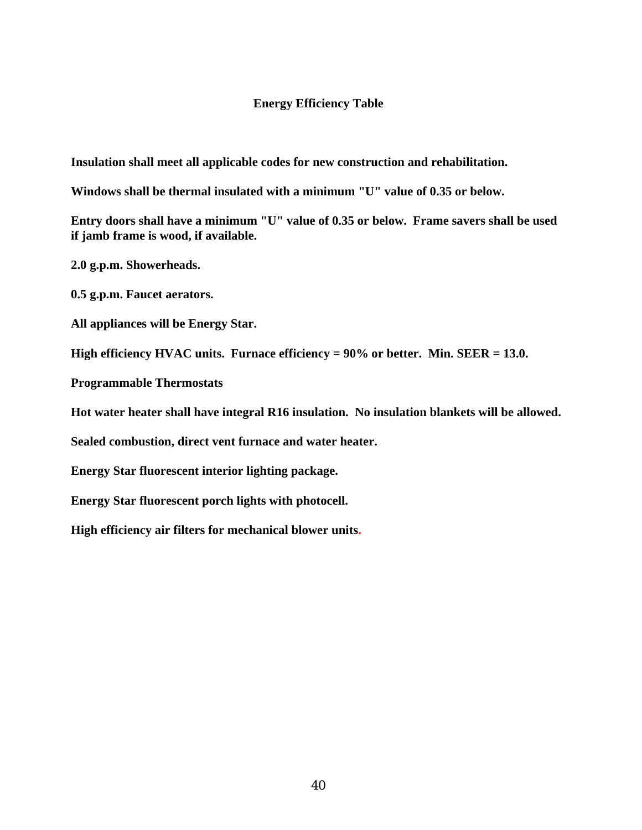# **Energy Efficiency Table**

**Insulation shall meet all applicable codes for new construction and rehabilitation.** 

**Windows shall be thermal insulated with a minimum "U" value of 0.35 or below.** 

**Entry doors shall have a minimum "U" value of 0.35 or below. Frame savers shall be used if jamb frame is wood, if available.** 

**2.0 g.p.m. Showerheads.** 

**0.5 g.p.m. Faucet aerators.** 

**All appliances will be Energy Star.** 

**High efficiency HVAC units. Furnace efficiency = 90% or better. Min. SEER = 13.0.** 

**Programmable Thermostats** 

**Hot water heater shall have integral R16 insulation. No insulation blankets will be allowed.** 

**Sealed combustion, direct vent furnace and water heater.** 

**Energy Star fluorescent interior lighting package.** 

**Energy Star fluorescent porch lights with photocell.** 

**High efficiency air filters for mechanical blower units.**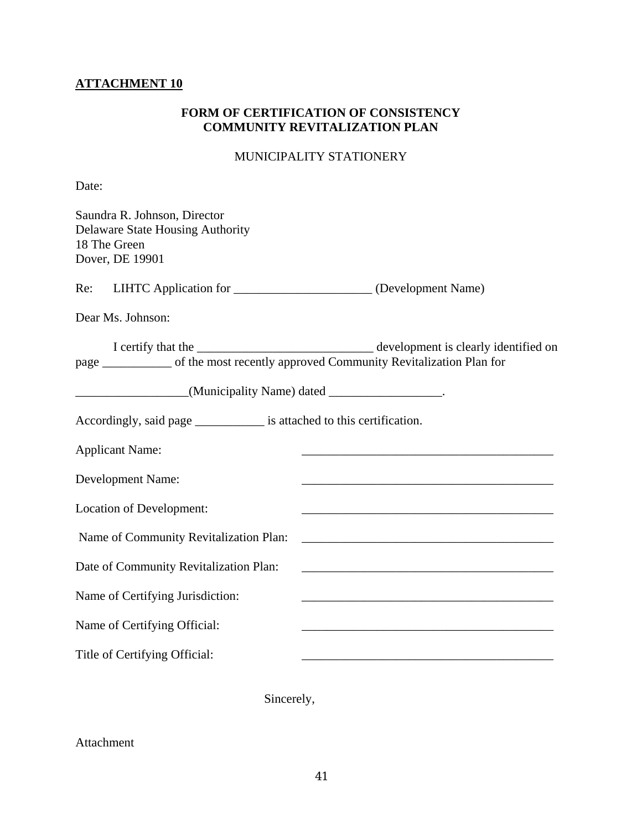# **FORM OF CERTIFICATION OF CONSISTENCY COMMUNITY REVITALIZATION PLAN**

# MUNICIPALITY STATIONERY

Date:

| Saundra R. Johnson, Director<br><b>Delaware State Housing Authority</b><br>18 The Green<br>Dover, DE 19901 |                                                                                                                                                                                                                               |
|------------------------------------------------------------------------------------------------------------|-------------------------------------------------------------------------------------------------------------------------------------------------------------------------------------------------------------------------------|
| Re: LIHTC Application for _______________________ (Development Name)                                       |                                                                                                                                                                                                                               |
| Dear Ms. Johnson:                                                                                          |                                                                                                                                                                                                                               |
| page ___________ of the most recently approved Community Revitalization Plan for                           |                                                                                                                                                                                                                               |
| ____________________(Municipality Name) dated ____________________.                                        |                                                                                                                                                                                                                               |
| Accordingly, said page ______________ is attached to this certification.                                   |                                                                                                                                                                                                                               |
| <b>Applicant Name:</b>                                                                                     |                                                                                                                                                                                                                               |
| Development Name:                                                                                          |                                                                                                                                                                                                                               |
| Location of Development:                                                                                   |                                                                                                                                                                                                                               |
| Name of Community Revitalization Plan:                                                                     |                                                                                                                                                                                                                               |
| Date of Community Revitalization Plan:                                                                     |                                                                                                                                                                                                                               |
| Name of Certifying Jurisdiction:                                                                           |                                                                                                                                                                                                                               |
| Name of Certifying Official:                                                                               | the control of the control of the control of the control of the control of the control of the control of the control of the control of the control of the control of the control of the control of the control of the control |
| Title of Certifying Official:                                                                              | <u> 1989 - Johann Barn, mars ann an t-Amhair an t-Amhair ann an t-Amhair an t-Amhair an t-Amhair an t-Amhair an t-</u>                                                                                                        |

Sincerely,

# Attachment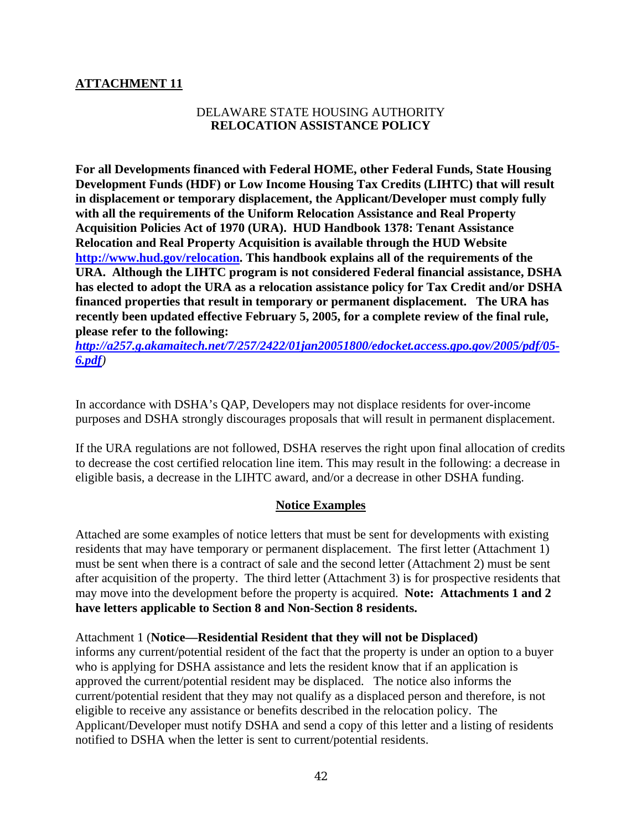# DELAWARE STATE HOUSING AUTHORITY **RELOCATION ASSISTANCE POLICY**

**For all Developments financed with Federal HOME, other Federal Funds, State Housing Development Funds (HDF) or Low Income Housing Tax Credits (LIHTC) that will result in displacement or temporary displacement, the Applicant/Developer must comply fully with all the requirements of the Uniform Relocation Assistance and Real Property Acquisition Policies Act of 1970 (URA). HUD Handbook 1378: Tenant Assistance Relocation and Real Property Acquisition is available through the HUD Website [http://www.hud.gov/relocation.](http://www.hud.gov/relocation) This handbook explains all of the requirements of the URA. Although the LIHTC program is not considered Federal financial assistance, DSHA has elected to adopt the URA as a relocation assistance policy for Tax Credit and/or DSHA financed properties that result in temporary or permanent displacement. The URA has recently been updated effective February 5, 2005, for a complete review of the final rule, please refer to the following:** 

*[http://a257.g.akamaitech.net/7/257/2422/01jan20051800/edocket.access.gpo.gov/2005/pdf/05-](http://a257.g.akamaitech.net/7/257/2422/01jan20051800/edocket.access.gpo.gov/2005/pdf/05-6.pdf) [6.pdf](http://a257.g.akamaitech.net/7/257/2422/01jan20051800/edocket.access.gpo.gov/2005/pdf/05-6.pdf))* 

In accordance with DSHA's QAP, Developers may not displace residents for over-income purposes and DSHA strongly discourages proposals that will result in permanent displacement.

If the URA regulations are not followed, DSHA reserves the right upon final allocation of credits to decrease the cost certified relocation line item. This may result in the following: a decrease in eligible basis, a decrease in the LIHTC award, and/or a decrease in other DSHA funding.

# **Notice Examples**

Attached are some examples of notice letters that must be sent for developments with existing residents that may have temporary or permanent displacement. The first letter (Attachment 1) must be sent when there is a contract of sale and the second letter (Attachment 2) must be sent after acquisition of the property. The third letter (Attachment 3) is for prospective residents that may move into the development before the property is acquired. **Note: Attachments 1 and 2 have letters applicable to Section 8 and Non-Section 8 residents.** 

#### Attachment 1 (**Notice—Residential Resident that they will not be Displaced)**

informs any current/potential resident of the fact that the property is under an option to a buyer who is applying for DSHA assistance and lets the resident know that if an application is approved the current/potential resident may be displaced. The notice also informs the current/potential resident that they may not qualify as a displaced person and therefore, is not eligible to receive any assistance or benefits described in the relocation policy. The Applicant/Developer must notify DSHA and send a copy of this letter and a listing of residents notified to DSHA when the letter is sent to current/potential residents.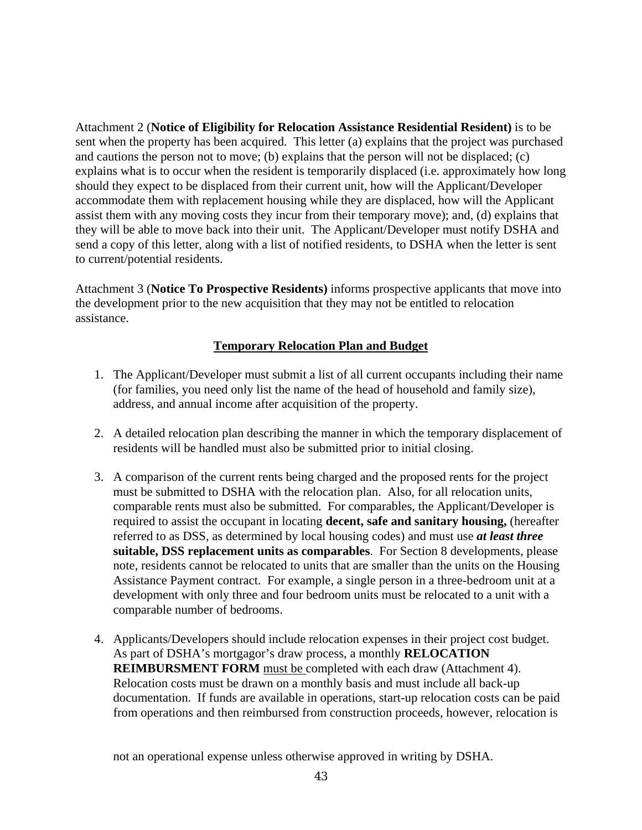Attachment 2 (**Notice of Eligibility for Relocation Assistance Residential Resident)** is to be sent when the property has been acquired. This letter (a) explains that the project was purchased and cautions the person not to move; (b) explains that the person will not be displaced; (c) explains what is to occur when the resident is temporarily displaced (i.e. approximately how long should they expect to be displaced from their current unit, how will the Applicant/Developer accommodate them with replacement housing while they are displaced, how will the Applicant assist them with any moving costs they incur from their temporary move); and, (d) explains that they will be able to move back into their unit. The Applicant/Developer must notify DSHA and send a copy of this letter, along with a list of notified residents, to DSHA when the letter is sent to current/potential residents.

Attachment 3 (**Notice To Prospective Residents)** informs prospective applicants that move into the development prior to the new acquisition that they may not be entitled to relocation assistance.

# **Temporary Relocation Plan and Budget**

- 1. The Applicant/Developer must submit a list of all current occupants including their name (for families, you need only list the name of the head of household and family size), address, and annual income after acquisition of the property.
- 2. A detailed relocation plan describing the manner in which the temporary displacement of residents will be handled must also be submitted prior to initial closing.
- 3. A comparison of the current rents being charged and the proposed rents for the project must be submitted to DSHA with the relocation plan. Also, for all relocation units, comparable rents must also be submitted. For comparables, the Applicant/Developer is required to assist the occupant in locating **decent, safe and sanitary housing,** (hereafter referred to as DSS, as determined by local housing codes) and must use *at least three*  **suitable, DSS replacement units as comparables**. For Section 8 developments, please note, residents cannot be relocated to units that are smaller than the units on the Housing Assistance Payment contract. For example, a single person in a three-bedroom unit at a development with only three and four bedroom units must be relocated to a unit with a comparable number of bedrooms.
- 4. Applicants/Developers should include relocation expenses in their project cost budget. As part of DSHA's mortgagor's draw process, a monthly **RELOCATION REIMBURSMENT FORM** must be completed with each draw (Attachment 4). Relocation costs must be drawn on a monthly basis and must include all back-up documentation. If funds are available in operations, start-up relocation costs can be paid from operations and then reimbursed from construction proceeds, however, relocation is

not an operational expense unless otherwise approved in writing by DSHA.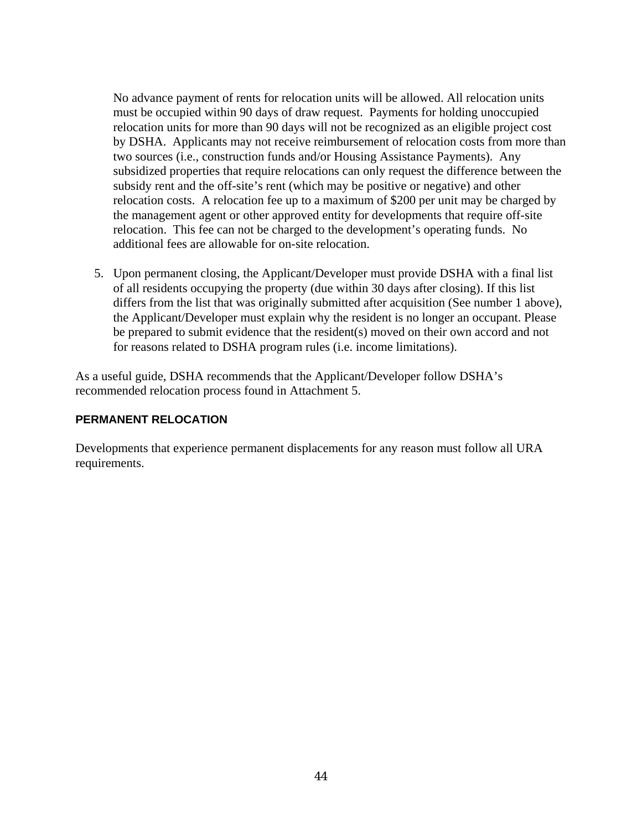No advance payment of rents for relocation units will be allowed. All relocation units must be occupied within 90 days of draw request. Payments for holding unoccupied relocation units for more than 90 days will not be recognized as an eligible project cost by DSHA. Applicants may not receive reimbursement of relocation costs from more than two sources (i.e., construction funds and/or Housing Assistance Payments). Any subsidized properties that require relocations can only request the difference between the subsidy rent and the off-site's rent (which may be positive or negative) and other relocation costs. A relocation fee up to a maximum of \$200 per unit may be charged by the management agent or other approved entity for developments that require off-site relocation. This fee can not be charged to the development's operating funds. No additional fees are allowable for on-site relocation.

5. Upon permanent closing, the Applicant/Developer must provide DSHA with a final list of all residents occupying the property (due within 30 days after closing). If this list differs from the list that was originally submitted after acquisition (See number 1 above), the Applicant/Developer must explain why the resident is no longer an occupant. Please be prepared to submit evidence that the resident(s) moved on their own accord and not for reasons related to DSHA program rules (i.e. income limitations).

As a useful guide, DSHA recommends that the Applicant/Developer follow DSHA's recommended relocation process found in Attachment 5.

# **PERMANENT RELOCATION**

Developments that experience permanent displacements for any reason must follow all URA requirements.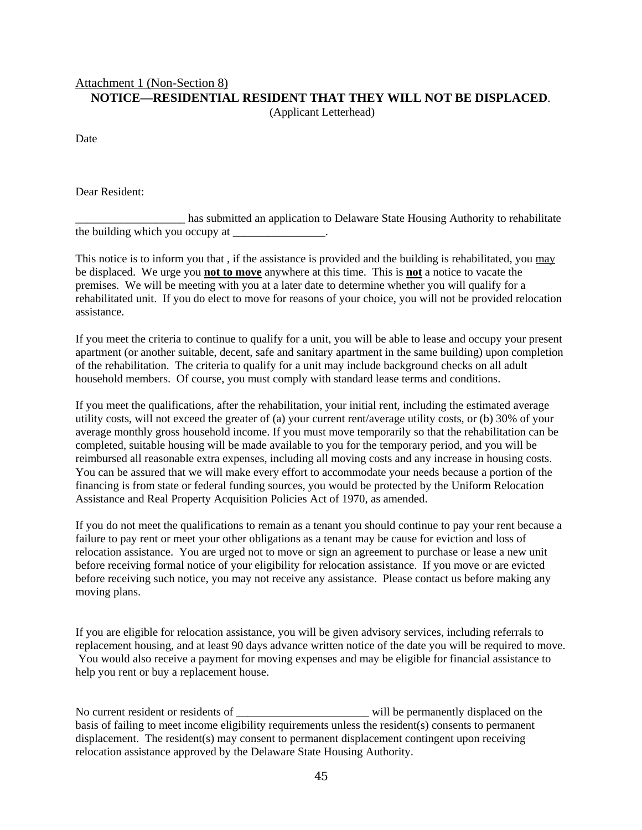# Attachment 1 (Non-Section 8) **NOTICE—RESIDENTIAL RESIDENT THAT THEY WILL NOT BE DISPLACED**.

(Applicant Letterhead)

Date

Dear Resident:

\_\_\_\_\_\_\_\_\_\_\_\_\_\_\_\_\_\_\_ has submitted an application to Delaware State Housing Authority to rehabilitate the building which you occupy at  $\frac{1}{\sqrt{2\pi}}$ .

This notice is to inform you that, if the assistance is provided and the building is rehabilitated, you may be displaced. We urge you **not to move** anywhere at this time. This is **not** a notice to vacate the premises. We will be meeting with you at a later date to determine whether you will qualify for a rehabilitated unit. If you do elect to move for reasons of your choice, you will not be provided relocation assistance.

If you meet the criteria to continue to qualify for a unit, you will be able to lease and occupy your present apartment (or another suitable, decent, safe and sanitary apartment in the same building) upon completion of the rehabilitation. The criteria to qualify for a unit may include background checks on all adult household members. Of course, you must comply with standard lease terms and conditions.

If you meet the qualifications, after the rehabilitation, your initial rent, including the estimated average utility costs, will not exceed the greater of (a) your current rent/average utility costs, or (b) 30% of your average monthly gross household income. If you must move temporarily so that the rehabilitation can be completed, suitable housing will be made available to you for the temporary period, and you will be reimbursed all reasonable extra expenses, including all moving costs and any increase in housing costs. You can be assured that we will make every effort to accommodate your needs because a portion of the financing is from state or federal funding sources, you would be protected by the Uniform Relocation Assistance and Real Property Acquisition Policies Act of 1970, as amended.

If you do not meet the qualifications to remain as a tenant you should continue to pay your rent because a failure to pay rent or meet your other obligations as a tenant may be cause for eviction and loss of relocation assistance. You are urged not to move or sign an agreement to purchase or lease a new unit before receiving formal notice of your eligibility for relocation assistance. If you move or are evicted before receiving such notice, you may not receive any assistance. Please contact us before making any moving plans.

If you are eligible for relocation assistance, you will be given advisory services, including referrals to replacement housing, and at least 90 days advance written notice of the date you will be required to move. You would also receive a payment for moving expenses and may be eligible for financial assistance to help you rent or buy a replacement house.

No current resident or residents of \_\_\_\_\_\_\_\_\_\_\_\_\_\_\_\_\_\_\_\_\_\_\_ will be permanently displaced on the basis of failing to meet income eligibility requirements unless the resident(s) consents to permanent displacement. The resident(s) may consent to permanent displacement contingent upon receiving relocation assistance approved by the Delaware State Housing Authority.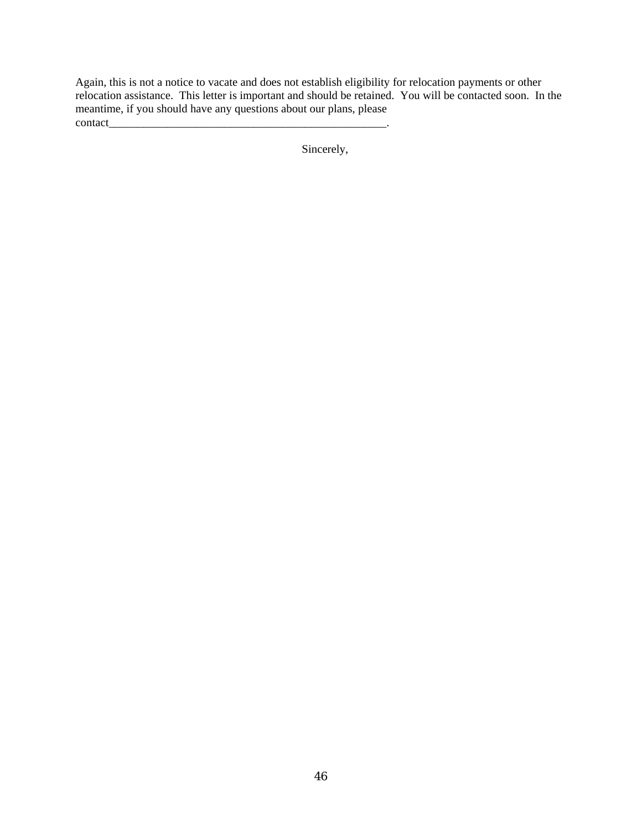Again, this is not a notice to vacate and does not establish eligibility for relocation payments or other relocation assistance. This letter is important and should be retained. You will be contacted soon. In the meantime, if you should have any questions about our plans, please contact\_

Sincerely,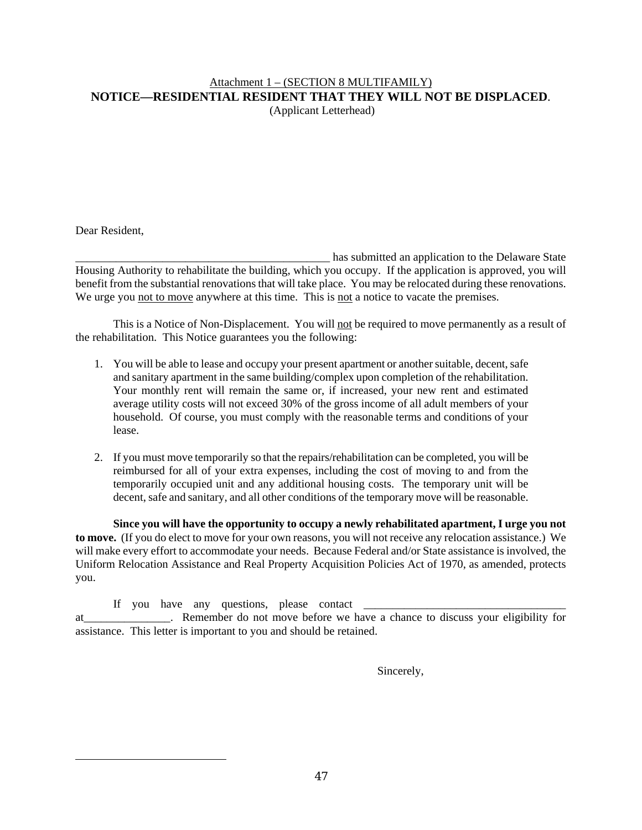#### Attachment 1 – (SECTION 8 MULTIFAMILY) **NOTICE—RESIDENTIAL RESIDENT THAT THEY WILL NOT BE DISPLACED**. (Applicant Letterhead)

Dear Resident,

 $\overline{a}$ 

\_\_\_\_\_\_\_\_\_\_\_\_\_ \_\_\_\_\_\_\_\_\_\_\_\_\_\_\_\_\_\_\_\_\_\_\_\_\_\_\_\_\_\_\_ has submitted an application to the Delaware State Housing Authority to rehabilitate the building, which you occupy. If the application is approved, you will benefit from the substantial renovations that will take place. You may be relocated during these renovations. We urge you not to move anywhere at this time. This is not a notice to vacate the premises.

This is a Notice of Non-Displacement. You will not be required to move permanently as a result of the rehabilitation. This Notice guarantees you the following:

- 1. You will be able to lease and occupy your present apartment or another suitable, decent, safe and sanitary apartment in the same building/complex upon completion of the rehabilitation. Your monthly rent will remain the same or, if increased, your new rent and estimated average utility costs will not exceed 30% of the gross income of all adult members of your household. Of course, you must comply with the reasonable terms and conditions of your lease.
- 2. If you must move temporarily so that the repairs/rehabilitation can be completed, you will be reimbursed for all of your extra expenses, including the cost of moving to and from the temporarily occupied unit and any additional housing costs. The temporary unit will be decent, safe and sanitary, and all other conditions of the temporary move will be reasonable.

**Since you will have the opportunity to occupy a newly rehabilitated apartment, I urge you not to move.** (If you do elect to move for your own reasons, you will not receive any relocation assistance.) We will make every effort to accommodate your needs. Because Federal and/or State assistance is involved, the Uniform Relocation Assistance and Real Property Acquisition Policies Act of 1970, as amended, protects you.

If you have any questions, please contact \_ at\_\_\_\_\_\_\_\_\_\_\_\_\_\_\_. Remember do not move before we have a chance to discuss your eligibility for assistance. This letter is important to you and should be retained.

Sincerely,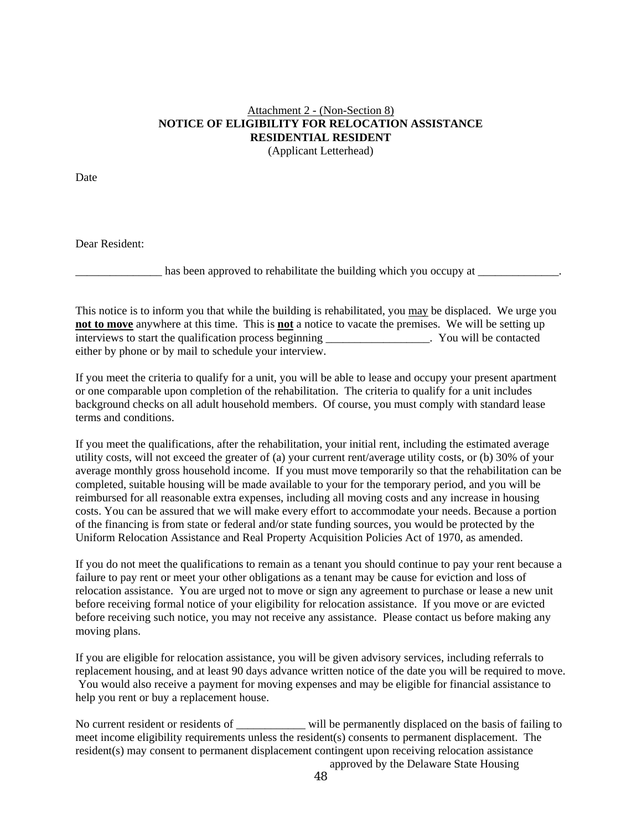#### Attachment 2 - (Non-Section 8) **NOTICE OF ELIGIBILITY FOR RELOCATION ASSISTANCE RESIDENTIAL RESIDENT**  (Applicant Letterhead)

Date

Dear Resident:

has been approved to rehabilitate the building which you occupy at \_\_\_\_\_\_\_\_\_\_\_\_\_

This notice is to inform you that while the building is rehabilitated, you may be displaced. We urge you **not to move** anywhere at this time. This is **not** a notice to vacate the premises. We will be setting up interviews to start the qualification process beginning \_\_\_\_\_\_\_\_\_\_\_\_\_\_\_\_\_\_. You will be contacted either by phone or by mail to schedule your interview.

If you meet the criteria to qualify for a unit, you will be able to lease and occupy your present apartment or one comparable upon completion of the rehabilitation. The criteria to qualify for a unit includes background checks on all adult household members. Of course, you must comply with standard lease terms and conditions.

If you meet the qualifications, after the rehabilitation, your initial rent, including the estimated average utility costs, will not exceed the greater of (a) your current rent/average utility costs, or (b) 30% of your average monthly gross household income. If you must move temporarily so that the rehabilitation can be completed, suitable housing will be made available to your for the temporary period, and you will be reimbursed for all reasonable extra expenses, including all moving costs and any increase in housing costs. You can be assured that we will make every effort to accommodate your needs. Because a portion of the financing is from state or federal and/or state funding sources, you would be protected by the Uniform Relocation Assistance and Real Property Acquisition Policies Act of 1970, as amended.

If you do not meet the qualifications to remain as a tenant you should continue to pay your rent because a failure to pay rent or meet your other obligations as a tenant may be cause for eviction and loss of relocation assistance. You are urged not to move or sign any agreement to purchase or lease a new unit before receiving formal notice of your eligibility for relocation assistance. If you move or are evicted before receiving such notice, you may not receive any assistance. Please contact us before making any moving plans.

If you are eligible for relocation assistance, you will be given advisory services, including referrals to replacement housing, and at least 90 days advance written notice of the date you will be required to move. You would also receive a payment for moving expenses and may be eligible for financial assistance to help you rent or buy a replacement house.

No current resident or residents of \_\_\_\_\_\_\_\_\_\_\_\_ will be permanently displaced on the basis of failing to meet income eligibility requirements unless the resident(s) consents to permanent displacement. The resident(s) may consent to permanent displacement contingent upon receiving relocation assistance

approved by the Delaware State Housing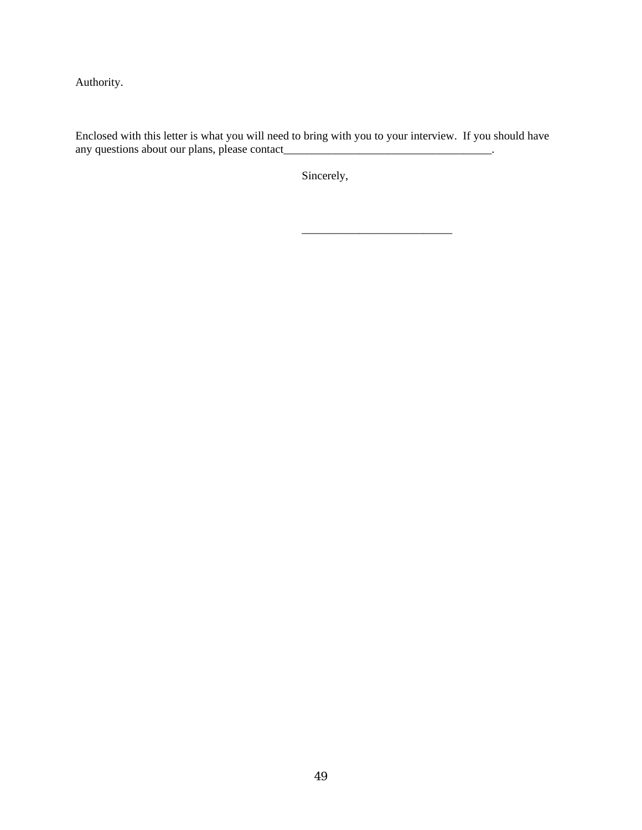Authority.

Enclosed with this letter is what you will need to bring with you to your interview. If you should have any questions about our plans, please contact\_\_\_\_\_\_\_\_\_\_\_\_\_\_\_\_\_\_\_\_\_\_\_\_\_\_\_\_\_\_\_\_\_\_\_\_.

 $\overline{\phantom{a}}$  , and the contract of the contract of the contract of the contract of the contract of the contract of the contract of the contract of the contract of the contract of the contract of the contract of the contrac

Sincerely,

49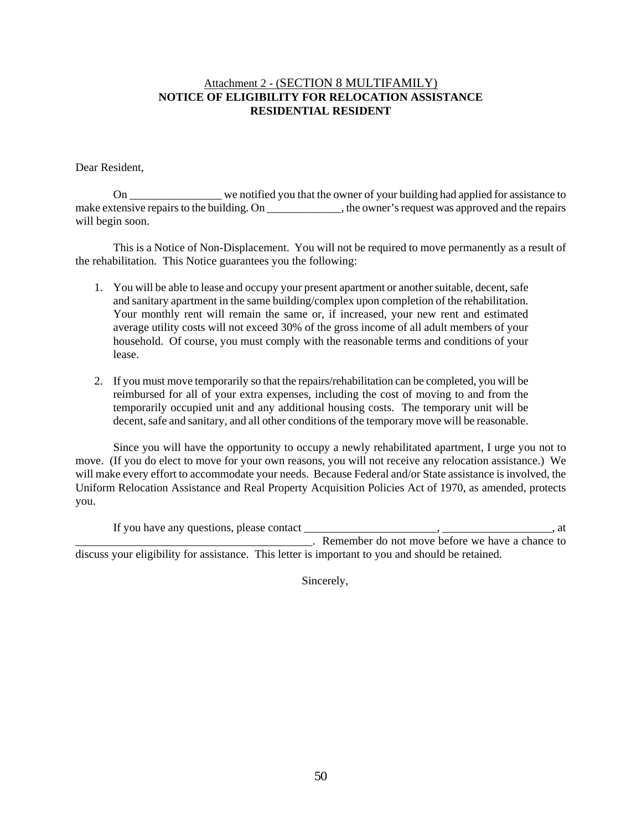## Attachment 2 - (SECTION 8 MULTIFAMILY) **NOTICE OF ELIGIBILITY FOR RELOCATION ASSISTANCE RESIDENTIAL RESIDENT**

Dear Resident,

On \_\_\_\_\_\_\_\_\_\_\_\_\_\_\_\_ we notified you that the owner of your building had applied for assistance to make extensive repairs to the building. On \_\_\_\_\_\_\_\_\_\_\_\_, the owner's request was approved and the repairs will begin soon.

This is a Notice of Non-Displacement. You will not be required to move permanently as a result of the rehabilitation. This Notice guarantees you the following:

- 1. You will be able to lease and occupy your present apartment or another suitable, decent, safe and sanitary apartment in the same building/complex upon completion of the rehabilitation. Your monthly rent will remain the same or, if increased, your new rent and estimated average utility costs will not exceed 30% of the gross income of all adult members of your household. Of course, you must comply with the reasonable terms and conditions of your lease.
- 2. If you must move temporarily so that the repairs/rehabilitation can be completed, you will be reimbursed for all of your extra expenses, including the cost of moving to and from the temporarily occupied unit and any additional housing costs. The temporary unit will be decent, safe and sanitary, and all other conditions of the temporary move will be reasonable.

Since you will have the opportunity to occupy a newly rehabilitated apartment, I urge you not to move. (If you do elect to move for your own reasons, you will not receive any relocation assistance.) We will make every effort to accommodate your needs. Because Federal and/or State assistance is involved, the Uniform Relocation Assistance and Real Property Acquisition Policies Act of 1970, as amended, protects you.

If you have any questions, please contact  $\qquad \qquad$ ,  $\qquad \qquad$ , at \_\_\_\_\_\_\_\_\_\_\_\_\_\_\_\_\_\_\_\_\_\_\_\_\_\_\_\_\_\_\_\_\_\_\_\_\_\_\_\_\_. Remember do not move before we have a chance to discuss your eligibility for assistance. This letter is important to you and should be retained.

Sincerely,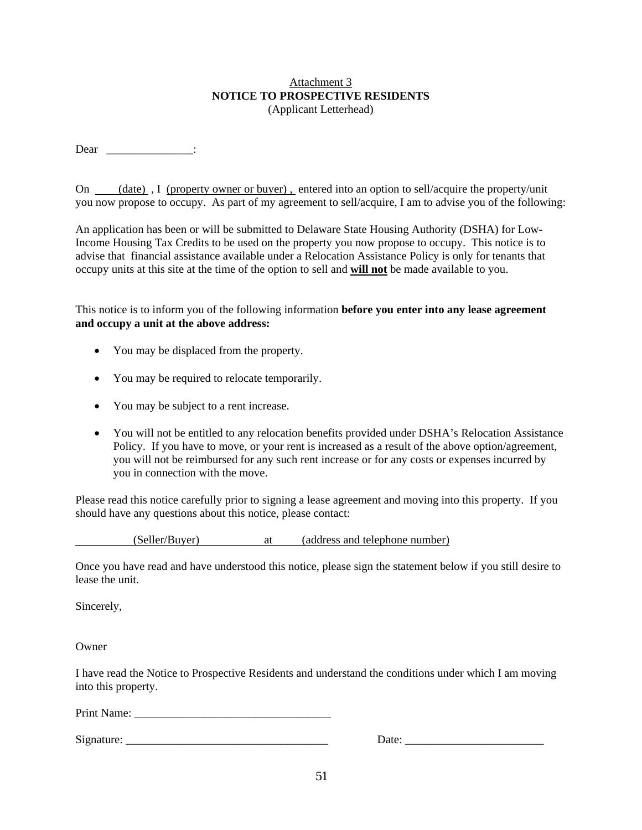#### Attachment 3 **NOTICE TO PROSPECTIVE RESIDENTS**  (Applicant Letterhead)

Dear \_\_\_\_\_\_\_\_\_\_\_\_\_\_\_:

On (date), I (property owner or buyer). entered into an option to sell/acquire the property/unit you now propose to occupy. As part of my agreement to sell/acquire, I am to advise you of the following:

An application has been or will be submitted to Delaware State Housing Authority (DSHA) for Low-Income Housing Tax Credits to be used on the property you now propose to occupy. This notice is to advise that financial assistance available under a Relocation Assistance Policy is only for tenants that occupy units at this site at the time of the option to sell and **will not** be made available to you.

This notice is to inform you of the following information **before you enter into any lease agreement and occupy a unit at the above address:**

- You may be displaced from the property.
- You may be required to relocate temporarily.
- You may be subject to a rent increase.
- You will not be entitled to any relocation benefits provided under DSHA's Relocation Assistance Policy. If you have to move, or your rent is increased as a result of the above option/agreement, you will not be reimbursed for any such rent increase or for any costs or expenses incurred by you in connection with the move.

Please read this notice carefully prior to signing a lease agreement and moving into this property. If you should have any questions about this notice, please contact:

(Seller/Buyer) at (address and telephone number)

Once you have read and have understood this notice, please sign the statement below if you still desire to lease the unit.

Sincerely,

**Owner** 

I have read the Notice to Prospective Residents and understand the conditions under which I am moving into this property.

Print Name:

Date:  $\Box$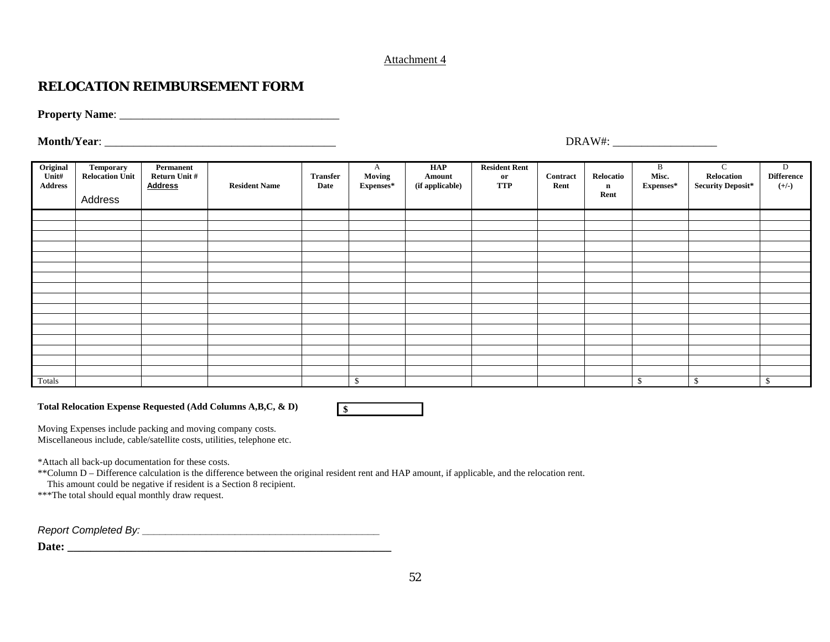#### Attachment 4

# **RELOCATION REIMBURSEMENT FORM**

**Property Name**: \_\_\_\_\_\_\_\_\_\_\_\_\_\_\_\_\_\_\_\_\_\_\_\_\_\_\_\_\_\_\_\_\_\_\_\_\_\_

**Original Unit# Address Temporary Relocation Unit** Address **PermanentReturn Unit # Address Resident Name Transfer Date**A **Moving Expenses\* HAP Amount (if applicable) Resident Rent or TTP Contract RentRelocatio n Rent**B **Misc. Expenses\***  C **Relocation Security Deposit\*** D **Difference (+/-)**  Totals\$ \$ \$ \$

**Total Relocation Expense Requested (Add Columns A,B,C, & D) \$** 



Moving Expenses include packing and moving company costs.

Miscellaneous include, cable/satellite costs, utilities, telephone etc.

\*Attach all back-up documentation for these costs.

\*\*Column D – Difference calculation is the difference between the original resident rent and HAP amount, if applicable, and the relocation rent.

This amount could be negative if resident is a Section 8 recipient.

\*\*\*The total should equal monthly draw request.

*Report Completed By: \_\_\_\_\_\_\_\_\_\_\_\_\_\_\_\_\_\_\_\_\_\_\_\_\_\_\_\_\_\_\_\_\_\_\_\_\_\_\_\_\_* 

**Date: \_\_\_\_\_\_\_\_\_\_\_\_\_\_\_\_\_\_\_\_\_\_\_\_\_\_\_\_\_\_\_\_\_\_\_\_\_\_\_\_\_\_\_\_\_\_\_\_\_\_\_\_\_\_\_\_**

**Month/Year**: \_\_\_\_\_\_\_\_\_\_\_\_\_\_\_\_\_\_\_\_\_\_\_\_\_\_\_\_\_\_\_\_\_\_\_\_\_\_\_\_ DRAW#: \_\_\_\_\_\_\_\_\_\_\_\_\_\_\_\_\_\_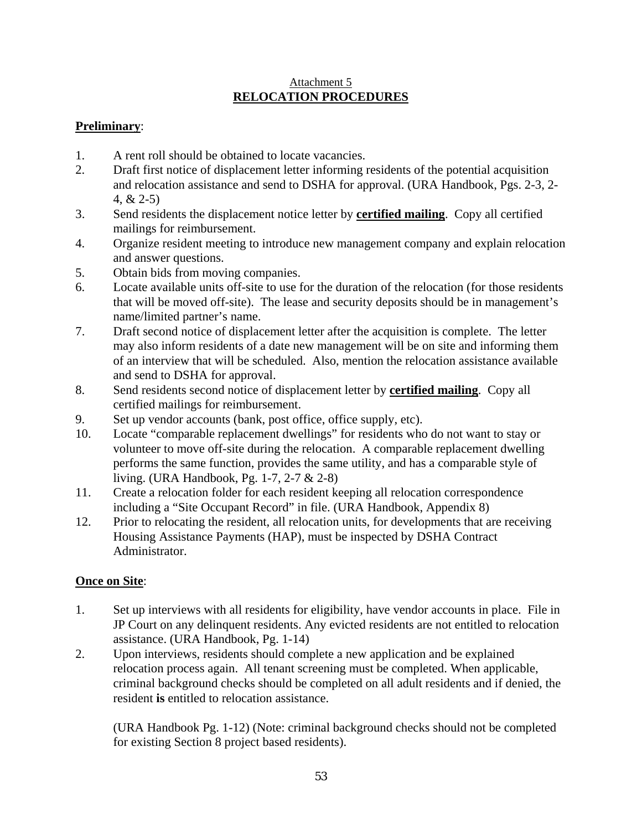# Attachment 5 **RELOCATION PROCEDURES**

# **Preliminary**:

- 1. A rent roll should be obtained to locate vacancies.
- 2. Draft first notice of displacement letter informing residents of the potential acquisition and relocation assistance and send to DSHA for approval. (URA Handbook, Pgs. 2-3, 2- 4, & 2-5)
- 3. Send residents the displacement notice letter by **certified mailing**. Copy all certified mailings for reimbursement.
- 4. Organize resident meeting to introduce new management company and explain relocation and answer questions.
- 5. Obtain bids from moving companies.
- 6. Locate available units off-site to use for the duration of the relocation (for those residents that will be moved off-site). The lease and security deposits should be in management's name/limited partner's name.
- 7. Draft second notice of displacement letter after the acquisition is complete. The letter may also inform residents of a date new management will be on site and informing them of an interview that will be scheduled. Also, mention the relocation assistance available and send to DSHA for approval.
- 8. Send residents second notice of displacement letter by **certified mailing**. Copy all certified mailings for reimbursement.
- 9. Set up vendor accounts (bank, post office, office supply, etc).
- 10. Locate "comparable replacement dwellings" for residents who do not want to stay or volunteer to move off-site during the relocation. A comparable replacement dwelling performs the same function, provides the same utility, and has a comparable style of living. (URA Handbook, Pg. 1-7, 2-7 & 2-8)
- 11. Create a relocation folder for each resident keeping all relocation correspondence including a "Site Occupant Record" in file. (URA Handbook, Appendix 8)
- 12. Prior to relocating the resident, all relocation units, for developments that are receiving Housing Assistance Payments (HAP), must be inspected by DSHA Contract Administrator.

# **Once on Site**:

- 1. Set up interviews with all residents for eligibility, have vendor accounts in place. File in JP Court on any delinquent residents. Any evicted residents are not entitled to relocation assistance. (URA Handbook, Pg. 1-14)
- 2. Upon interviews, residents should complete a new application and be explained relocation process again. All tenant screening must be completed. When applicable, criminal background checks should be completed on all adult residents and if denied, the resident **is** entitled to relocation assistance.

(URA Handbook Pg. 1-12) (Note: criminal background checks should not be completed for existing Section 8 project based residents).